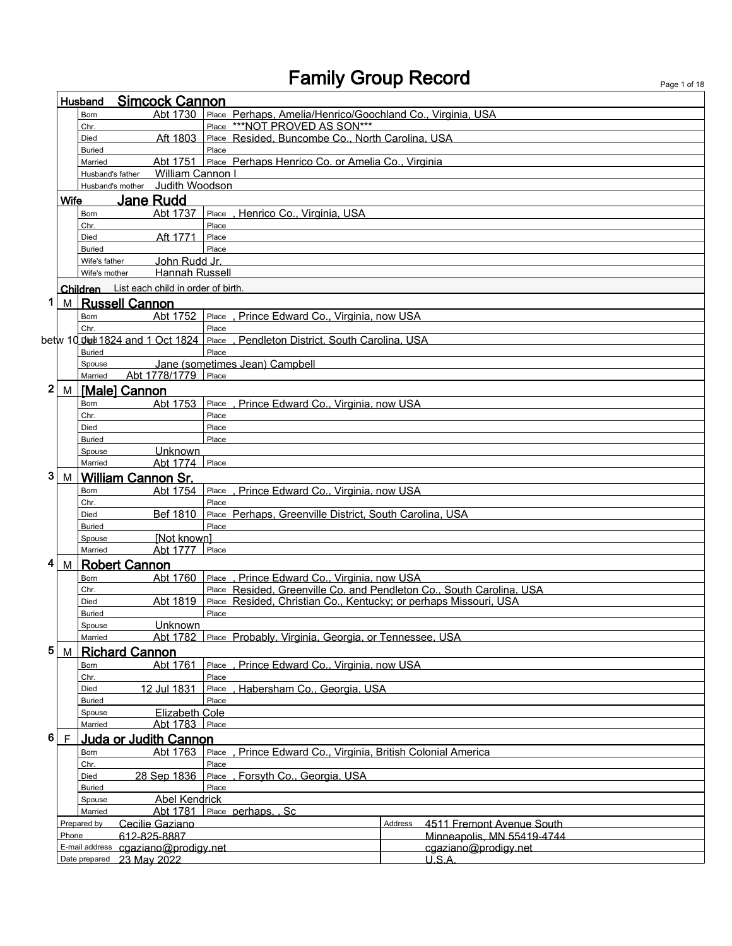|   | <b>Simcock Cannon</b><br>Husband |                                                  |                                                                      |                                                                    |  |  |
|---|----------------------------------|--------------------------------------------------|----------------------------------------------------------------------|--------------------------------------------------------------------|--|--|
|   |                                  | Abt 1730<br>Born                                 | Place Perhaps, Amelia/Henrico/Goochland Co., Virginia, USA           |                                                                    |  |  |
|   |                                  | Chr.                                             | ***NOT PROVED AS SON***<br>Place                                     |                                                                    |  |  |
|   |                                  | Aft 1803<br>Died                                 | Place Resided, Buncombe Co., North Carolina, USA                     |                                                                    |  |  |
|   |                                  | <b>Buried</b><br>Abt 1751<br>Married             | Place<br>Place Perhaps Henrico Co. or Amelia Co., Virginia           |                                                                    |  |  |
|   |                                  | Husband's father                                 | William Cannon I                                                     |                                                                    |  |  |
|   |                                  | Husband's mother                                 | Judith Woodson                                                       |                                                                    |  |  |
|   | Wife                             | <b>Jane Rudd</b>                                 |                                                                      |                                                                    |  |  |
|   |                                  | Abt 1737<br>Born                                 | , Henrico Co., Virginia, USA<br>Place                                |                                                                    |  |  |
|   |                                  | Chr.                                             | Place                                                                |                                                                    |  |  |
|   |                                  | Aft 1771<br>Died                                 | Place                                                                |                                                                    |  |  |
|   |                                  | <b>Buried</b><br>Wife's father                   | Place<br>John Rudd Jr.                                               |                                                                    |  |  |
|   |                                  | Wife's mother                                    | Hannah Russell                                                       |                                                                    |  |  |
|   |                                  | Children List each child in order of birth.      |                                                                      |                                                                    |  |  |
| 1 | M l                              | <b>Russell Cannon</b>                            |                                                                      |                                                                    |  |  |
|   |                                  | Abt 1752<br><b>Born</b>                          | , Prince Edward Co., Virginia, now USA<br>Place                      |                                                                    |  |  |
|   |                                  | Chr.                                             | Place                                                                |                                                                    |  |  |
|   |                                  |                                                  | . Pendleton District, South Carolina, USA                            |                                                                    |  |  |
|   |                                  | <b>Buried</b>                                    | Place                                                                |                                                                    |  |  |
|   |                                  | Spouse<br>Abt 1778/1779<br>Married               | Jane (sometimes Jean) Campbell<br>Place                              |                                                                    |  |  |
| 2 |                                  | M [Male] Cannon                                  |                                                                      |                                                                    |  |  |
|   |                                  | Abt 1753<br><b>Born</b>                          | Place, Prince Edward Co., Virginia, now USA                          |                                                                    |  |  |
|   |                                  | Chr.                                             | Place                                                                |                                                                    |  |  |
|   |                                  | Died                                             | Place                                                                |                                                                    |  |  |
|   |                                  | <b>Buried</b>                                    | Place                                                                |                                                                    |  |  |
|   |                                  | Unknown<br>Spouse<br>Abt 1774<br>Married         | Place                                                                |                                                                    |  |  |
| 3 | M                                | <b>William Cannon Sr.</b>                        |                                                                      |                                                                    |  |  |
|   |                                  | Abt 1754<br>Born                                 | , Prince Edward Co., Virginia, now USA<br>Place                      |                                                                    |  |  |
|   |                                  | Chr.                                             | Place                                                                |                                                                    |  |  |
|   |                                  | Bef 1810<br>Died                                 | Place Perhaps, Greenville District, South Carolina, USA              |                                                                    |  |  |
|   |                                  | <b>Buried</b>                                    | Place                                                                |                                                                    |  |  |
|   |                                  | [Not known]<br>Spouse<br>Abt 1777<br>Married     | Place                                                                |                                                                    |  |  |
| 4 | M                                | <b>Robert Cannon</b>                             |                                                                      |                                                                    |  |  |
|   |                                  | Abt 1760<br><b>Born</b>                          | Place, Prince Edward Co., Virginia, now USA                          |                                                                    |  |  |
|   |                                  | Chr.                                             | Place Resided, Greenville Co. and Pendleton Co., South Carolina, USA |                                                                    |  |  |
|   |                                  | Abt 1819<br>Died                                 | Place Resided, Christian Co., Kentucky; or perhaps Missouri, USA     |                                                                    |  |  |
|   |                                  | Buried                                           | Place                                                                |                                                                    |  |  |
|   |                                  | Spouse<br>Unknown<br>Abt 1782                    |                                                                      |                                                                    |  |  |
| 5 |                                  | Married<br><b>Richard Cannon</b>                 | Place Probably, Virginia, Georgia, or Tennessee, USA                 |                                                                    |  |  |
|   | M                                | Abt 1761<br>Born                                 | Prince Edward Co., Virginia, now USA<br>Place                        |                                                                    |  |  |
|   |                                  | Chr.                                             | Place                                                                |                                                                    |  |  |
|   |                                  | 12 Jul 1831<br>Died                              | Habersham Co., Georgia, USA<br>Place                                 |                                                                    |  |  |
|   |                                  | <b>Buried</b>                                    | Place                                                                |                                                                    |  |  |
|   |                                  | Spouse<br>Married                                | <b>Elizabeth Cole</b>                                                |                                                                    |  |  |
| 6 |                                  |                                                  | Abt 1783 Place                                                       |                                                                    |  |  |
|   | $\mathsf F$                      | <b>Juda or Judith Cannon</b><br>Abt 1763<br>Born | Place<br>Prince Edward Co., Virginia, British Colonial America       |                                                                    |  |  |
|   |                                  | Chr.                                             | Place                                                                |                                                                    |  |  |
|   |                                  | 28 Sep 1836<br>Died                              | Place, Forsyth Co., Georgia, USA                                     |                                                                    |  |  |
|   |                                  | <b>Buried</b>                                    | Place                                                                |                                                                    |  |  |
|   |                                  | Spouse                                           | <b>Abel Kendrick</b>                                                 |                                                                    |  |  |
|   |                                  | Abt 1781<br>Married                              | Place perhaps. . Sc                                                  |                                                                    |  |  |
|   | Phone                            | Prepared by<br>Cecilie Gaziano<br>612-825-8887   |                                                                      | Address<br>4511 Fremont Avenue South<br>Minneapolis, MN 55419-4744 |  |  |
|   |                                  | E-mail address cgaziano@prodigy.net              |                                                                      | cgaziano@prodigy.net                                               |  |  |
|   |                                  | Date prepared 23 May 2022                        |                                                                      | U.S.A.                                                             |  |  |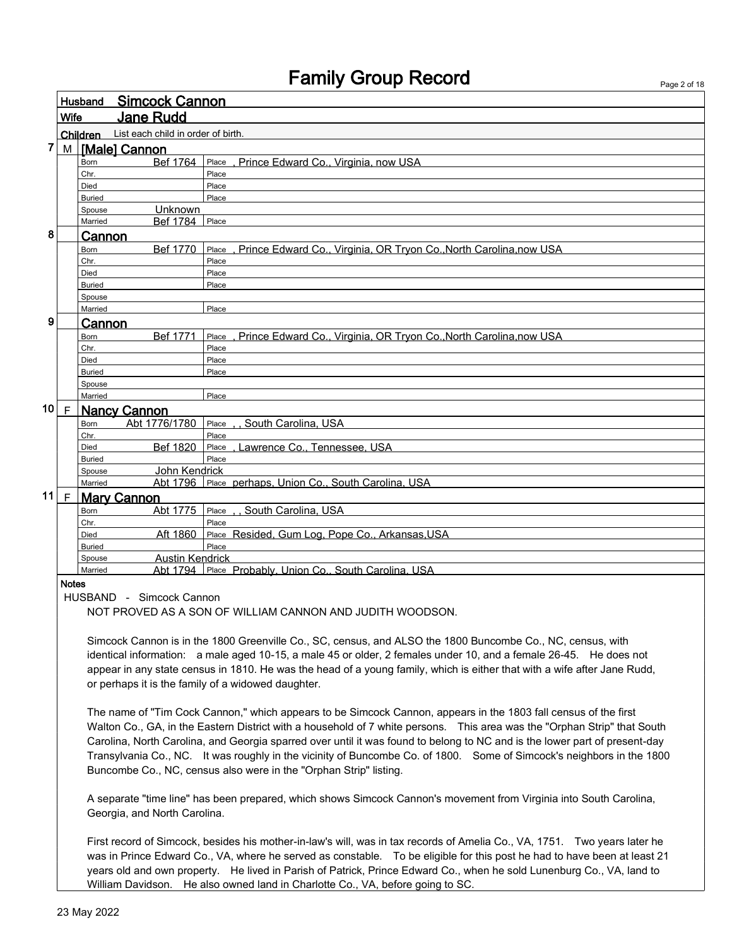|              |              |                                             | Page 2 or 18                                                                                                               |
|--------------|--------------|---------------------------------------------|----------------------------------------------------------------------------------------------------------------------------|
|              |              | Husband Simcock Cannon                      |                                                                                                                            |
|              |              |                                             |                                                                                                                            |
|              | <b>Wife</b>  | <b>Jane Rudd</b>                            |                                                                                                                            |
|              |              | Children List each child in order of birth. |                                                                                                                            |
| 7            |              | M Malel Cannon                              |                                                                                                                            |
|              |              | Born                                        | Bef 1764 Place, Prince Edward Co., Virginia, now USA                                                                       |
|              |              | Chr.                                        | Place                                                                                                                      |
|              |              | Died                                        | Place                                                                                                                      |
|              |              | <b>Buried</b>                               | Place                                                                                                                      |
|              |              | Unknown<br>Spouse                           |                                                                                                                            |
|              |              | <b>Bef 1784</b> Place<br>Married            |                                                                                                                            |
| 8            |              | Cannon                                      |                                                                                                                            |
|              |              | Bef 1770<br>Born                            | Place, Prince Edward Co., Virginia, OR Tryon Co., North Carolina, now USA                                                  |
|              |              | Chr.                                        | Place                                                                                                                      |
|              |              | Died                                        | Place                                                                                                                      |
|              |              | Buried                                      | Place                                                                                                                      |
|              |              | Spouse                                      |                                                                                                                            |
|              |              | Married                                     | Place                                                                                                                      |
| 9            |              |                                             |                                                                                                                            |
|              |              | Cannon<br>Bef 1771                          | Prince Edward Co., Virginia, OR Tryon Co., North Carolina, now USA                                                         |
|              |              | Born                                        | Place                                                                                                                      |
|              |              | Chr.                                        | Place                                                                                                                      |
|              |              | Died<br><b>Buried</b>                       | Place<br>Place                                                                                                             |
|              |              | Spouse                                      |                                                                                                                            |
|              |              | Married                                     | Place                                                                                                                      |
| 10           |              |                                             |                                                                                                                            |
|              | $\mathsf{F}$ | <b>Nancy Cannon</b>                         |                                                                                                                            |
|              |              | Abt 1776/1780<br>Born                       | Place South Carolina. USA                                                                                                  |
|              |              | Chr.                                        | Place                                                                                                                      |
|              |              | Bef 1820<br>Died                            | Place, Lawrence Co., Tennessee, USA                                                                                        |
|              |              | <b>Buried</b>                               | Place                                                                                                                      |
|              |              | John Kendrick<br>Spouse                     |                                                                                                                            |
|              |              | Married                                     | Abt 1796 Place perhaps, Union Co., South Carolina, USA                                                                     |
| 11 $\vert$ F |              | <b>Mary Cannon</b>                          |                                                                                                                            |
|              |              | Born                                        | Abt 1775   Place South Carolina, USA                                                                                       |
|              |              | Chr.                                        | Place                                                                                                                      |
|              |              | Aft 1860<br>Died                            | Place Resided, Gum Log, Pope Co., Arkansas, USA                                                                            |
|              |              | <b>Buried</b>                               | Place                                                                                                                      |
|              |              | <b>Austin Kendrick</b><br>Spouse            |                                                                                                                            |
|              |              | Married                                     | Abt 1794 Place Probably, Union Co., South Carolina, USA                                                                    |
|              | <b>Notes</b> |                                             |                                                                                                                            |
|              |              | HUSBAND - Simcock Cannon                    |                                                                                                                            |
|              |              |                                             | NOT PROVED AS A SON OF WILLIAM CANNON AND JUDITH WOODSON.                                                                  |
|              |              |                                             | Simcock Cannon is in the 1800 Greenville Co., SC, census, and ALSO the 1800 Buncombe Co., NC, census, with                 |
|              |              |                                             | identical information: a male aged 10-15, a male 45 or older, 2 females under 10, and a female 26-45. He does not          |
|              |              |                                             | appear in any state census in 1810. He was the head of a young family, which is either that with a wife after Jane Rudd,   |
|              |              |                                             | or perhaps it is the family of a widowed daughter.                                                                         |
|              |              |                                             |                                                                                                                            |
|              |              |                                             | The name of "Tim Cock Cannon," which appears to be Simcock Cannon, appears in the 1803 fall census of the first            |
|              |              |                                             | Walton Co., GA, in the Eastern District with a household of 7 white persons. This area was the "Orphan Strip" that South   |
|              |              |                                             | Carolina, North Carolina, and Georgia sparred over until it was found to belong to NC and is the lower part of present-day |
|              |              |                                             |                                                                                                                            |
|              |              |                                             | Transylvania Co., NC. It was roughly in the vicinity of Buncombe Co. of 1800. Some of Simcock's neighbors in the 1800      |
|              |              |                                             | Buncombe Co., NC, census also were in the "Orphan Strip" listing.                                                          |
|              |              |                                             |                                                                                                                            |
|              |              |                                             | A separate "time line" has been prepared, which shows Simcock Cannon's movement from Virginia into South Carolina,         |

Georgia, and North Carolina.

First record of Simcock, besides his mother-in-law's will, was in tax records of Amelia Co., VA, 1751. Two years later he was in Prince Edward Co., VA, where he served as constable. To be eligible for this post he had to have been at least 21 years old and own property. He lived in Parish of Patrick, Prince Edward Co., when he sold Lunenburg Co., VA, land to William Davidson. He also owned land in Charlotte Co., VA, before going to SC.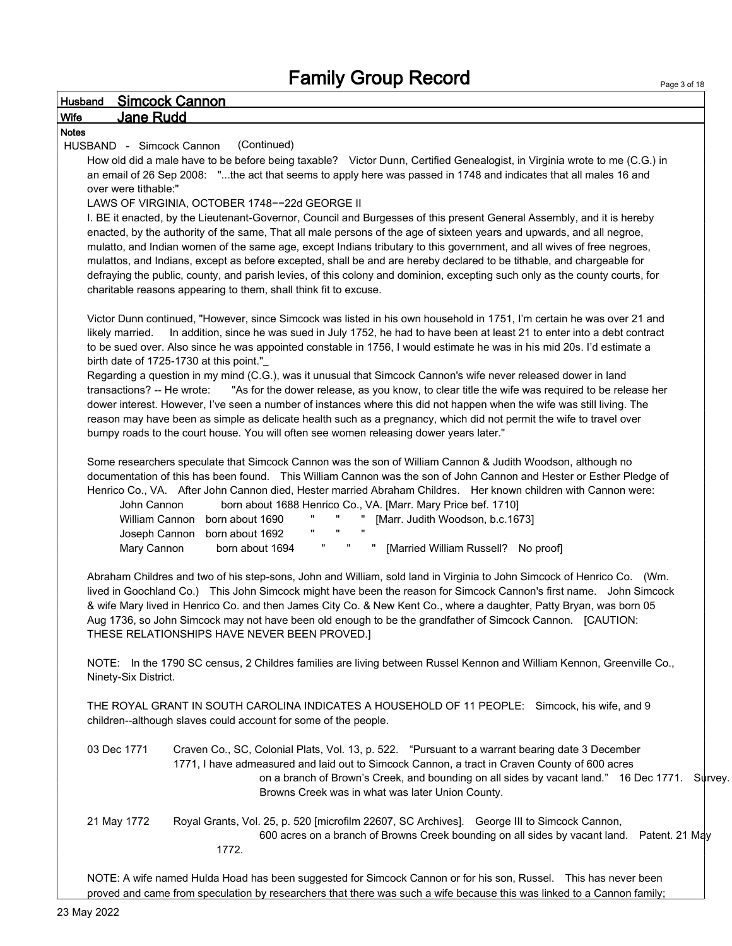### Husband Simcock Cannon Wife Jane Rudd Notes HUSBAND - Simcock Cannon (Continued) How old did a male have to be before being taxable? Victor Dunn, Certified Genealogist, in Virginia wrote to me (C.G.) in an email of 26 Sep 2008: "...the act that seems to apply here was passed in 1748 and indicates that all males 16 and over were tithable:" LAWS OF VIRGINIA, OCTOBER 1748−−22d GEORGE II I. BE it enacted, by the Lieutenant-Governor, Council and Burgesses of this present General Assembly, and it is hereby enacted, by the authority of the same, That all male persons of the age of sixteen years and upwards, and all negroe, mulatto, and Indian women of the same age, except Indians tributary to this government, and all wives of free negroes, mulattos, and Indians, except as before excepted, shall be and are hereby declared to be tithable, and chargeable for defraying the public, county, and parish levies, of this colony and dominion, excepting such only as the county courts, for charitable reasons appearing to them, shall think fit to excuse. Victor Dunn continued, "However, since Simcock was listed in his own household in 1751, I'm certain he was over 21 and likely married. In addition, since he was sued in July 1752, he had to have been at least 21 to enter into a debt contract to be sued over. Also since he was appointed constable in 1756, I would estimate he was in his mid 20s. I'd estimate a birth date of 1725-1730 at this point."\_ Regarding a question in my mind (C.G.), was it unusual that Simcock Cannon's wife never released dower in land transactions? -- He wrote: "As for the dower release, as you know, to clear title the wife was required to be release her dower interest. However, I've seen a number of instances where this did not happen when the wife was still living. The reason may have been as simple as delicate health such as a pregnancy, which did not permit the wife to travel over bumpy roads to the court house. You will often see women releasing dower years later." Some researchers speculate that Simcock Cannon was the son of William Cannon & Judith Woodson, although no documentation of this has been found. This William Cannon was the son of John Cannon and Hester or Esther Pledge of Henrico Co., VA. After John Cannon died, Hester married Abraham Childres. Her known children with Cannon were: John Cannon born about 1688 Henrico Co., VA. [Marr. Mary Price bef. 1710] William Cannon born about 1690 " " " [Marr. Judith Woodson, b.c.1673] Joseph Cannon born about 1692 Mary Cannon born about 1694 " " " [Married William Russell? No proof] Abraham Childres and two of his step-sons, John and William, sold land in Virginia to John Simcock of Henrico Co. (Wm. lived in Goochland Co.) This John Simcock might have been the reason for Simcock Cannon's first name. John Simcock & wife Mary lived in Henrico Co. and then James City Co. & New Kent Co., where a daughter, Patty Bryan, was born 05 Aug 1736, so John Simcock may not have been old enough to be the grandfather of Simcock Cannon. [CAUTION: THESE RELATIONSHIPS HAVE NEVER BEEN PROVED.] NOTE: In the 1790 SC census, 2 Childres families are living between Russel Kennon and William Kennon, Greenville Co., Ninety-Six District. THE ROYAL GRANT IN SOUTH CAROLINA INDICATES A HOUSEHOLD OF 11 PEOPLE: Simcock, his wife, and 9 children--although slaves could account for some of the people. 03 Dec 1771 Craven Co., SC, Colonial Plats, Vol. 13, p. 522. "Pursuant to a warrant bearing date 3 December 1771, I have admeasured and laid out to Simcock Cannon, a tract in Craven County of 600 acres on a branch of Brown's Creek, and bounding on all sides by vacant land." 16 Dec 1771. Survey.

21 May 1772 Royal Grants, Vol. 25, p. 520 [microfilm 22607, SC Archives]. George III to Simcock Cannon, 600 acres on a branch of Browns Creek bounding on all sides by vacant land. Patent. 21 May 1772.

NOTE: A wife named Hulda Hoad has been suggested for Simcock Cannon or for his son, Russel. This has never been proved and came from speculation by researchers that there was such a wife because this was linked to a Cannon family;

Browns Creek was in what was later Union County.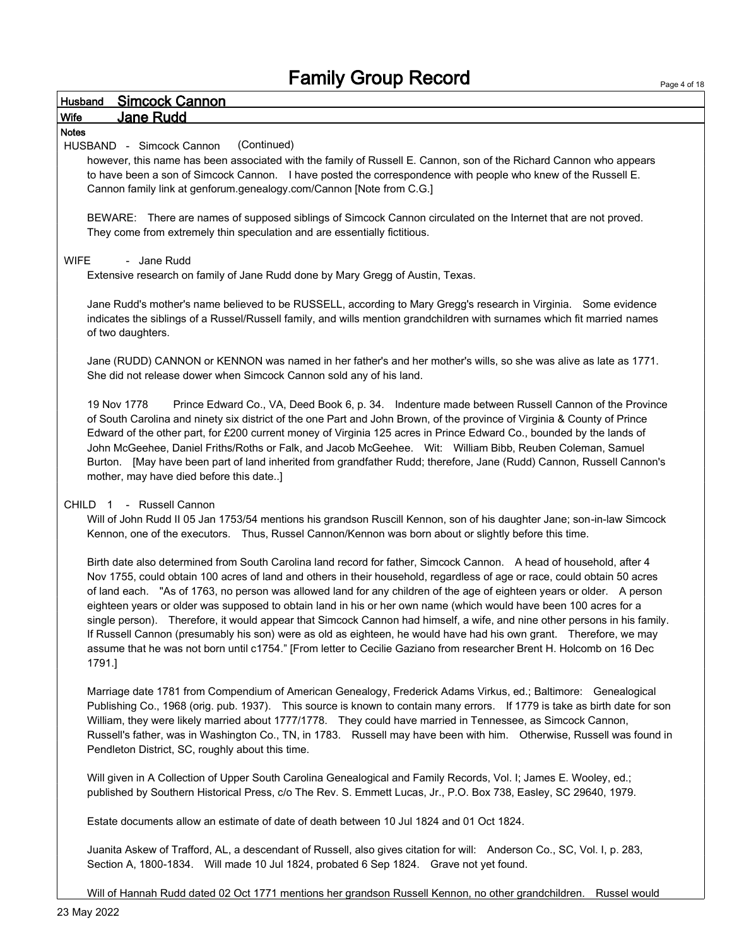| <b>Simcock Cannon</b><br><b>Husband</b>                                                                                                                                                                                                                                                                                                                                                                                                                                                                                                                                                                                                                                                                                                                                                                                                                                              |
|--------------------------------------------------------------------------------------------------------------------------------------------------------------------------------------------------------------------------------------------------------------------------------------------------------------------------------------------------------------------------------------------------------------------------------------------------------------------------------------------------------------------------------------------------------------------------------------------------------------------------------------------------------------------------------------------------------------------------------------------------------------------------------------------------------------------------------------------------------------------------------------|
| <b>Jane Rudd</b><br><b>Wife</b>                                                                                                                                                                                                                                                                                                                                                                                                                                                                                                                                                                                                                                                                                                                                                                                                                                                      |
| <b>Notes</b><br>HUSBAND - Simcock Cannon<br>(Continued)<br>however, this name has been associated with the family of Russell E. Cannon, son of the Richard Cannon who appears<br>to have been a son of Simcock Cannon. I have posted the correspondence with people who knew of the Russell E.<br>Cannon family link at genforum.genealogy.com/Cannon [Note from C.G.]                                                                                                                                                                                                                                                                                                                                                                                                                                                                                                               |
| BEWARE: There are names of supposed siblings of Simcock Cannon circulated on the Internet that are not proved.<br>They come from extremely thin speculation and are essentially fictitious.                                                                                                                                                                                                                                                                                                                                                                                                                                                                                                                                                                                                                                                                                          |
| <b>WIFE</b><br>- Jane Rudd<br>Extensive research on family of Jane Rudd done by Mary Gregg of Austin, Texas.                                                                                                                                                                                                                                                                                                                                                                                                                                                                                                                                                                                                                                                                                                                                                                         |
| Jane Rudd's mother's name believed to be RUSSELL, according to Mary Gregg's research in Virginia. Some evidence<br>indicates the siblings of a Russel/Russell family, and wills mention grandchildren with surnames which fit married names<br>of two daughters.                                                                                                                                                                                                                                                                                                                                                                                                                                                                                                                                                                                                                     |
| Jane (RUDD) CANNON or KENNON was named in her father's and her mother's wills, so she was alive as late as 1771.<br>She did not release dower when Simcock Cannon sold any of his land.                                                                                                                                                                                                                                                                                                                                                                                                                                                                                                                                                                                                                                                                                              |
| Prince Edward Co., VA, Deed Book 6, p. 34. Indenture made between Russell Cannon of the Province<br>19 Nov 1778<br>of South Carolina and ninety six district of the one Part and John Brown, of the province of Virginia & County of Prince<br>Edward of the other part, for £200 current money of Virginia 125 acres in Prince Edward Co., bounded by the lands of<br>John McGeehee, Daniel Friths/Roths or Falk, and Jacob McGeehee. Wit: William Bibb, Reuben Coleman, Samuel<br>Burton. [May have been part of land inherited from grandfather Rudd; therefore, Jane (Rudd) Cannon, Russell Cannon's<br>mother, may have died before this date]                                                                                                                                                                                                                                  |
| CHILD 1 - Russell Cannon<br>Will of John Rudd II 05 Jan 1753/54 mentions his grandson Ruscill Kennon, son of his daughter Jane; son-in-law Simcock<br>Kennon, one of the executors.  Thus, Russel Cannon/Kennon was born about or slightly before this time.                                                                                                                                                                                                                                                                                                                                                                                                                                                                                                                                                                                                                         |
| Birth date also determined from South Carolina land record for father, Simcock Cannon. A head of household, after 4<br>Nov 1755, could obtain 100 acres of land and others in their household, regardless of age or race, could obtain 50 acres<br>of land each. "As of 1763, no person was allowed land for any children of the age of eighteen years or older. A person<br>eighteen years or older was supposed to obtain land in his or her own name (which would have been 100 acres for a<br>single person). Therefore, it would appear that Simcock Cannon had himself, a wife, and nine other persons in his family.<br>If Russell Cannon (presumably his son) were as old as eighteen, he would have had his own grant.  Therefore, we may<br>assume that he was not born until c1754." [From letter to Cecilie Gaziano from researcher Brent H. Holcomb on 16 Dec<br>1791.] |
| Marriage date 1781 from Compendium of American Genealogy, Frederick Adams Virkus, ed.; Baltimore: Genealogical<br>Publishing Co., 1968 (orig. pub. 1937). This source is known to contain many errors. If 1779 is take as birth date for son<br>William, they were likely married about 1777/1778. They could have married in Tennessee, as Simcock Cannon,<br>Russell's father, was in Washington Co., TN, in 1783. Russell may have been with him. Otherwise, Russell was found in<br>Pendleton District, SC, roughly about this time.                                                                                                                                                                                                                                                                                                                                             |
| Will given in A Collection of Upper South Carolina Genealogical and Family Records, Vol. I; James E. Wooley, ed.;<br>published by Southern Historical Press, c/o The Rev. S. Emmett Lucas, Jr., P.O. Box 738, Easley, SC 29640, 1979.                                                                                                                                                                                                                                                                                                                                                                                                                                                                                                                                                                                                                                                |
| Estate documents allow an estimate of date of death between 10 Jul 1824 and 01 Oct 1824.                                                                                                                                                                                                                                                                                                                                                                                                                                                                                                                                                                                                                                                                                                                                                                                             |
| Juanita Askew of Trafford, AL, a descendant of Russell, also gives citation for will: Anderson Co., SC, Vol. I, p. 283,                                                                                                                                                                                                                                                                                                                                                                                                                                                                                                                                                                                                                                                                                                                                                              |

Section A, 1800-1834. Will made 10 Jul 1824, probated 6 Sep 1824. Grave not yet found.

Will of Hannah Rudd dated 02 Oct 1771 mentions her grandson Russell Kennon, no other grandchildren. Russel would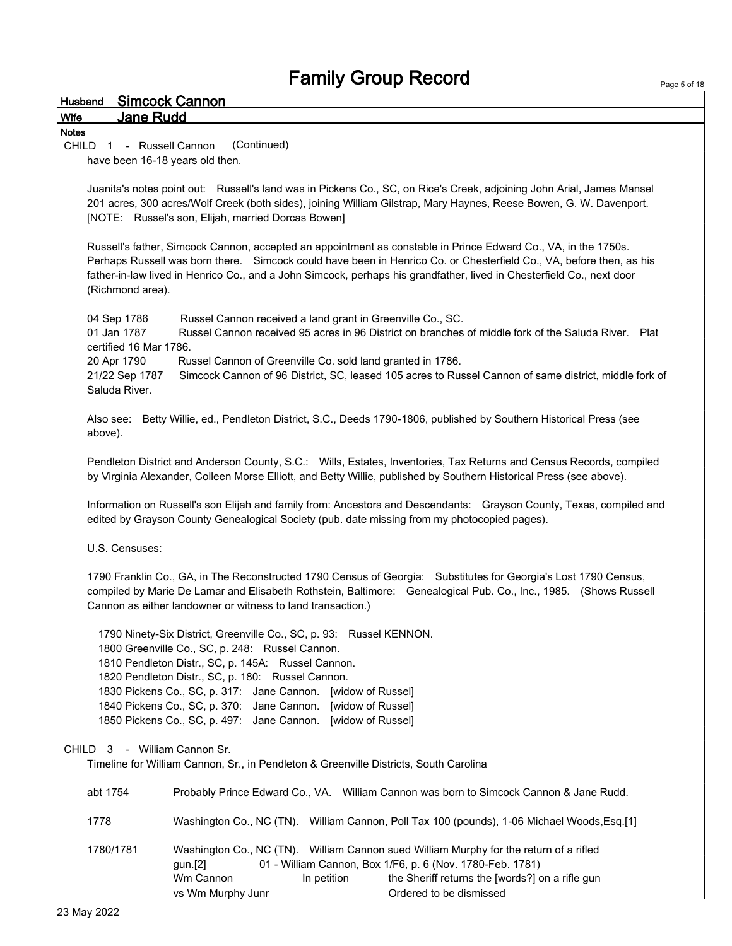| <b>Simcock Cannon</b><br>Husband                                                                                                                                                                                                                                                                                                                                                                                                                   |  |
|----------------------------------------------------------------------------------------------------------------------------------------------------------------------------------------------------------------------------------------------------------------------------------------------------------------------------------------------------------------------------------------------------------------------------------------------------|--|
| <b>Jane Rudd</b><br>Wife                                                                                                                                                                                                                                                                                                                                                                                                                           |  |
| <b>Notes</b><br>(Continued)<br>CHILD 1 - Russell Cannon<br>have been 16-18 years old then.                                                                                                                                                                                                                                                                                                                                                         |  |
| Juanita's notes point out: Russell's land was in Pickens Co., SC, on Rice's Creek, adjoining John Arial, James Mansel<br>201 acres, 300 acres/Wolf Creek (both sides), joining William Gilstrap, Mary Haynes, Reese Bowen, G. W. Davenport.<br>[NOTE: Russel's son, Elijah, married Dorcas Bowen]                                                                                                                                                  |  |
| Russell's father, Simcock Cannon, accepted an appointment as constable in Prince Edward Co., VA, in the 1750s.<br>Perhaps Russell was born there. Simcock could have been in Henrico Co. or Chesterfield Co., VA, before then, as his<br>father-in-law lived in Henrico Co., and a John Simcock, perhaps his grandfather, lived in Chesterfield Co., next door<br>(Richmond area).                                                                 |  |
| 04 Sep 1786<br>Russel Cannon received a land grant in Greenville Co., SC.<br>01 Jan 1787<br>Russel Cannon received 95 acres in 96 District on branches of middle fork of the Saluda River. Plat<br>certified 16 Mar 1786.<br>Russel Cannon of Greenville Co. sold land granted in 1786.<br>20 Apr 1790<br>Simcock Cannon of 96 District, SC, leased 105 acres to Russel Cannon of same district, middle fork of<br>21/22 Sep 1787<br>Saluda River. |  |
| Also see: Betty Willie, ed., Pendleton District, S.C., Deeds 1790-1806, published by Southern Historical Press (see<br>above).                                                                                                                                                                                                                                                                                                                     |  |
| Pendleton District and Anderson County, S.C.: Wills, Estates, Inventories, Tax Returns and Census Records, compiled<br>by Virginia Alexander, Colleen Morse Elliott, and Betty Willie, published by Southern Historical Press (see above).                                                                                                                                                                                                         |  |
| Information on Russell's son Elijah and family from: Ancestors and Descendants: Grayson County, Texas, compiled and<br>edited by Grayson County Genealogical Society (pub. date missing from my photocopied pages).                                                                                                                                                                                                                                |  |
| U.S. Censuses:                                                                                                                                                                                                                                                                                                                                                                                                                                     |  |
| 1790 Franklin Co., GA, in The Reconstructed 1790 Census of Georgia: Substitutes for Georgia's Lost 1790 Census,<br>compiled by Marie De Lamar and Elisabeth Rothstein, Baltimore: Genealogical Pub. Co., Inc., 1985. (Shows Russell<br>Cannon as either landowner or witness to land transaction.)                                                                                                                                                 |  |
| 1790 Ninety-Six District, Greenville Co., SC, p. 93: Russel KENNON.<br>1800 Greenville Co., SC, p. 248: Russel Cannon.<br>1810 Pendleton Distr., SC, p. 145A: Russel Cannon.<br>1820 Pendleton Distr., SC, p. 180: Russel Cannon.<br>1830 Pickens Co., SC, p. 317: Jane Cannon. [widow of Russel]<br>1840 Pickens Co., SC, p. 370: Jane Cannon. [widow of Russel]<br>1850 Pickens Co., SC, p. 497: Jane Cannon. [widow of Russel]                  |  |
| - William Cannon Sr.<br>CHILD<br>3<br>Timeline for William Cannon, Sr., in Pendleton & Greenville Districts, South Carolina                                                                                                                                                                                                                                                                                                                        |  |
| abt 1754<br>Probably Prince Edward Co., VA. William Cannon was born to Simcock Cannon & Jane Rudd.                                                                                                                                                                                                                                                                                                                                                 |  |
| 1778<br>Washington Co., NC (TN). William Cannon, Poll Tax 100 (pounds), 1-06 Michael Woods, Esq.[1]                                                                                                                                                                                                                                                                                                                                                |  |
| 1780/1781<br>Washington Co., NC (TN). William Cannon sued William Murphy for the return of a rifled<br>01 - William Cannon, Box 1/F6, p. 6 (Nov. 1780-Feb. 1781)<br>gun.[2]<br>Wm Cannon<br>In petition<br>the Sheriff returns the [words?] on a rifle gun<br>Ordered to be dismissed<br>vs Wm Murphy Junr                                                                                                                                         |  |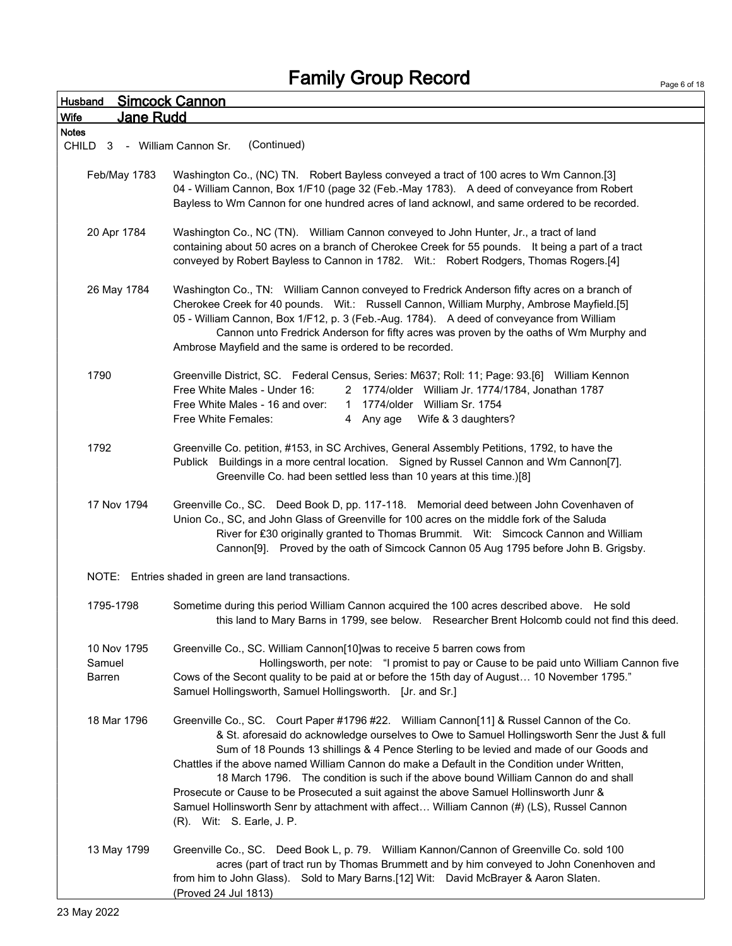| Husband                                      | <b>Simcock Cannon</b>                                                                                                                                                                                                                                                                                                                                                                                                                                                                                                                                                                                                                                                                           |
|----------------------------------------------|-------------------------------------------------------------------------------------------------------------------------------------------------------------------------------------------------------------------------------------------------------------------------------------------------------------------------------------------------------------------------------------------------------------------------------------------------------------------------------------------------------------------------------------------------------------------------------------------------------------------------------------------------------------------------------------------------|
| Jane Rudd<br>Wife                            |                                                                                                                                                                                                                                                                                                                                                                                                                                                                                                                                                                                                                                                                                                 |
| <b>Notes</b><br>CHILD 3 - William Cannon Sr. | (Continued)                                                                                                                                                                                                                                                                                                                                                                                                                                                                                                                                                                                                                                                                                     |
| Feb/May 1783                                 | Washington Co., (NC) TN. Robert Bayless conveyed a tract of 100 acres to Wm Cannon.[3]<br>04 - William Cannon, Box 1/F10 (page 32 (Feb.-May 1783). A deed of conveyance from Robert<br>Bayless to Wm Cannon for one hundred acres of land acknowl, and same ordered to be recorded.                                                                                                                                                                                                                                                                                                                                                                                                             |
| 20 Apr 1784                                  | Washington Co., NC (TN). William Cannon conveyed to John Hunter, Jr., a tract of land<br>containing about 50 acres on a branch of Cherokee Creek for 55 pounds. It being a part of a tract<br>conveyed by Robert Bayless to Cannon in 1782. Wit.: Robert Rodgers, Thomas Rogers.[4]                                                                                                                                                                                                                                                                                                                                                                                                             |
| 26 May 1784                                  | Washington Co., TN: William Cannon conveyed to Fredrick Anderson fifty acres on a branch of<br>Cherokee Creek for 40 pounds. Wit.: Russell Cannon, William Murphy, Ambrose Mayfield.[5]<br>05 - William Cannon, Box 1/F12, p. 3 (Feb.-Aug. 1784). A deed of conveyance from William<br>Cannon unto Fredrick Anderson for fifty acres was proven by the oaths of Wm Murphy and<br>Ambrose Mayfield and the same is ordered to be recorded.                                                                                                                                                                                                                                                       |
| 1790                                         | Greenville District, SC. Federal Census, Series: M637; Roll: 11; Page: 93.[6] William Kennon<br>Free White Males - Under 16:<br>2 1774/older William Jr. 1774/1784, Jonathan 1787<br>Free White Males - 16 and over:<br>1 1774/older William Sr. 1754<br>Free White Females:<br>4 Any age Wife & 3 daughters?                                                                                                                                                                                                                                                                                                                                                                                   |
| 1792                                         | Greenville Co. petition, #153, in SC Archives, General Assembly Petitions, 1792, to have the<br>Publick Buildings in a more central location. Signed by Russel Cannon and Wm Cannon[7].<br>Greenville Co. had been settled less than 10 years at this time.)[8]                                                                                                                                                                                                                                                                                                                                                                                                                                 |
| 17 Nov 1794                                  | Greenville Co., SC. Deed Book D, pp. 117-118. Memorial deed between John Covenhaven of<br>Union Co., SC, and John Glass of Greenville for 100 acres on the middle fork of the Saluda<br>River for £30 originally granted to Thomas Brummit. Wit: Simcock Cannon and William<br>Cannon[9]. Proved by the oath of Simcock Cannon 05 Aug 1795 before John B. Grigsby.                                                                                                                                                                                                                                                                                                                              |
|                                              | NOTE: Entries shaded in green are land transactions.                                                                                                                                                                                                                                                                                                                                                                                                                                                                                                                                                                                                                                            |
| 1795-1798                                    | Sometime during this period William Cannon acquired the 100 acres described above. He sold<br>this land to Mary Barns in 1799, see below. Researcher Brent Holcomb could not find this deed.                                                                                                                                                                                                                                                                                                                                                                                                                                                                                                    |
| 10 Nov 1795<br>Samuel<br>Barren              | Greenville Co., SC. William Cannon[10]was to receive 5 barren cows from<br>Hollingsworth, per note: "I promist to pay or Cause to be paid unto William Cannon five<br>Cows of the Secont quality to be paid at or before the 15th day of August 10 November 1795."<br>Samuel Hollingsworth, Samuel Hollingsworth. [Jr. and Sr.]                                                                                                                                                                                                                                                                                                                                                                 |
| 18 Mar 1796                                  | Greenville Co., SC. Court Paper #1796 #22. William Cannon[11] & Russel Cannon of the Co.<br>& St. aforesaid do acknowledge ourselves to Owe to Samuel Hollingsworth Senr the Just & full<br>Sum of 18 Pounds 13 shillings & 4 Pence Sterling to be levied and made of our Goods and<br>Chattles if the above named William Cannon do make a Default in the Condition under Written,<br>18 March 1796. The condition is such if the above bound William Cannon do and shall<br>Prosecute or Cause to be Prosecuted a suit against the above Samuel Hollinsworth Junr &<br>Samuel Hollinsworth Senr by attachment with affect William Cannon (#) (LS), Russel Cannon<br>(R). Wit: S. Earle, J. P. |
| 13 May 1799                                  | Greenville Co., SC. Deed Book L, p. 79. William Kannon/Cannon of Greenville Co. sold 100<br>acres (part of tract run by Thomas Brummett and by him conveyed to John Conenhoven and<br>from him to John Glass). Sold to Mary Barns.[12] Wit: David McBrayer & Aaron Slaten.<br>(Proved 24 Jul 1813)                                                                                                                                                                                                                                                                                                                                                                                              |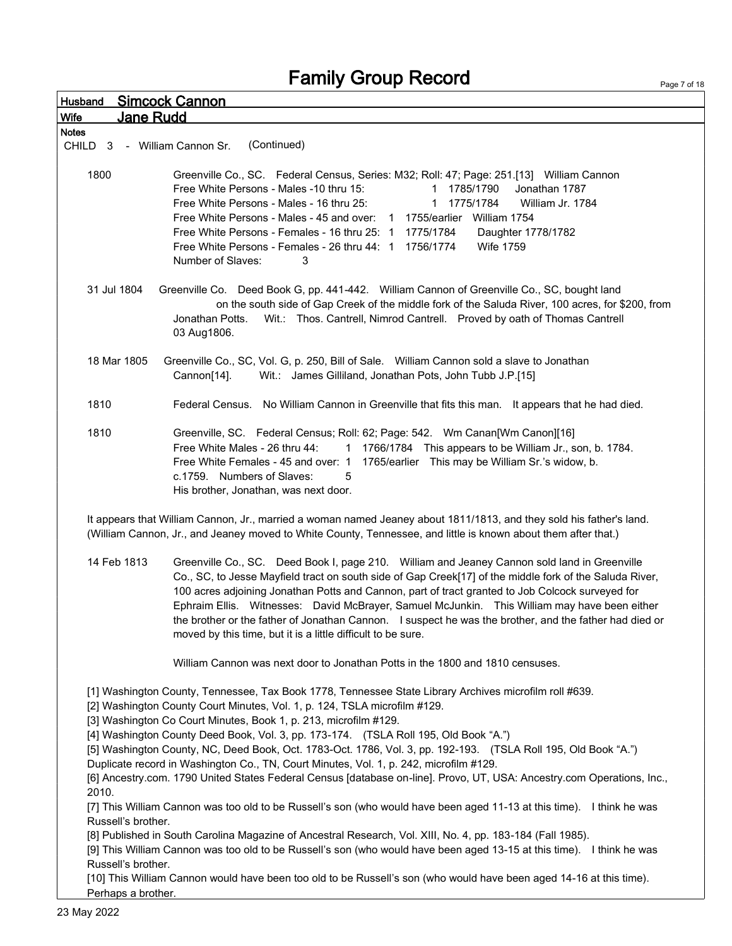Page 7 of 18

| Husband                                                                 | <b>Simcock Cannon</b>                                                                                                                                                                                                                                                                                                                                                                                                                                                                                                                                                                                                                                                                                                                                                                                                                                                                                                                                                                                                                                                                                                                                                        |
|-------------------------------------------------------------------------|------------------------------------------------------------------------------------------------------------------------------------------------------------------------------------------------------------------------------------------------------------------------------------------------------------------------------------------------------------------------------------------------------------------------------------------------------------------------------------------------------------------------------------------------------------------------------------------------------------------------------------------------------------------------------------------------------------------------------------------------------------------------------------------------------------------------------------------------------------------------------------------------------------------------------------------------------------------------------------------------------------------------------------------------------------------------------------------------------------------------------------------------------------------------------|
| <b>Jane Rudd</b><br>Wife                                                |                                                                                                                                                                                                                                                                                                                                                                                                                                                                                                                                                                                                                                                                                                                                                                                                                                                                                                                                                                                                                                                                                                                                                                              |
| <b>Notes</b><br>CHILD <sub>3</sub>                                      | (Continued)<br>- William Cannon Sr.                                                                                                                                                                                                                                                                                                                                                                                                                                                                                                                                                                                                                                                                                                                                                                                                                                                                                                                                                                                                                                                                                                                                          |
| 1800                                                                    | Greenville Co., SC. Federal Census, Series: M32; Roll: 47; Page: 251.[13] William Cannon<br>Free White Persons - Males -10 thru 15:<br>1 1785/1790<br>Jonathan 1787<br>1775/1784<br>Free White Persons - Males - 16 thru 25:<br>William Jr. 1784<br>1<br>Free White Persons - Males - 45 and over: 1 1755/earlier William 1754<br>Free White Persons - Females - 16 thru 25: 1 1775/1784<br>Daughter 1778/1782<br>Free White Persons - Females - 26 thru 44: 1 1756/1774<br><b>Wife 1759</b><br>Number of Slaves:<br>3                                                                                                                                                                                                                                                                                                                                                                                                                                                                                                                                                                                                                                                       |
| 31 Jul 1804                                                             | Greenville Co. Deed Book G, pp. 441-442. William Cannon of Greenville Co., SC, bought land<br>on the south side of Gap Creek of the middle fork of the Saluda River, 100 acres, for \$200, from<br>Wit.: Thos. Cantrell, Nimrod Cantrell. Proved by oath of Thomas Cantrell<br>Jonathan Potts.<br>03 Aug1806.                                                                                                                                                                                                                                                                                                                                                                                                                                                                                                                                                                                                                                                                                                                                                                                                                                                                |
| 18 Mar 1805                                                             | Greenville Co., SC, Vol. G, p. 250, Bill of Sale.  William Cannon sold a slave to Jonathan<br>Wit.: James Gilliland, Jonathan Pots, John Tubb J.P.[15]<br>Cannon[14].                                                                                                                                                                                                                                                                                                                                                                                                                                                                                                                                                                                                                                                                                                                                                                                                                                                                                                                                                                                                        |
| 1810                                                                    | Federal Census. No William Cannon in Greenville that fits this man. It appears that he had died.                                                                                                                                                                                                                                                                                                                                                                                                                                                                                                                                                                                                                                                                                                                                                                                                                                                                                                                                                                                                                                                                             |
| 1810                                                                    | Greenville, SC. Federal Census; Roll: 62; Page: 542. Wm Canan[Wm Canon][16]<br>Free White Males - 26 thru 44:<br>1 1766/1784 This appears to be William Jr., son, b. 1784.<br>Free White Females - 45 and over: 1 1765/earlier This may be William Sr.'s widow, b.<br>c.1759. Numbers of Slaves:<br>5<br>His brother, Jonathan, was next door.                                                                                                                                                                                                                                                                                                                                                                                                                                                                                                                                                                                                                                                                                                                                                                                                                               |
|                                                                         | It appears that William Cannon, Jr., married a woman named Jeaney about 1811/1813, and they sold his father's land.<br>(William Cannon, Jr., and Jeaney moved to White County, Tennessee, and little is known about them after that.)                                                                                                                                                                                                                                                                                                                                                                                                                                                                                                                                                                                                                                                                                                                                                                                                                                                                                                                                        |
| 14 Feb 1813                                                             | Greenville Co., SC. Deed Book I, page 210. William and Jeaney Cannon sold land in Greenville<br>Co., SC, to Jesse Mayfield tract on south side of Gap Creek[17] of the middle fork of the Saluda River,<br>100 acres adjoining Jonathan Potts and Cannon, part of tract granted to Job Colcock surveyed for<br>Ephraim Ellis. Witnesses: David McBrayer, Samuel McJunkin. This William may have been either<br>the brother or the father of Jonathan Cannon. I suspect he was the brother, and the father had died or<br>moved by this time, but it is a little difficult to be sure.                                                                                                                                                                                                                                                                                                                                                                                                                                                                                                                                                                                        |
|                                                                         | William Cannon was next door to Jonathan Potts in the 1800 and 1810 censuses.                                                                                                                                                                                                                                                                                                                                                                                                                                                                                                                                                                                                                                                                                                                                                                                                                                                                                                                                                                                                                                                                                                |
| 2010.<br>Russell's brother.<br>Russell's brother.<br>Perhaps a brother. | [1] Washington County, Tennessee, Tax Book 1778, Tennessee State Library Archives microfilm roll #639.<br>[2] Washington County Court Minutes, Vol. 1, p. 124, TSLA microfilm #129.<br>[3] Washington Co Court Minutes, Book 1, p. 213, microfilm #129.<br>[4] Washington County Deed Book, Vol. 3, pp. 173-174. (TSLA Roll 195, Old Book "A.")<br>[5] Washington County, NC, Deed Book, Oct. 1783-Oct. 1786, Vol. 3, pp. 192-193. (TSLA Roll 195, Old Book "A.")<br>Duplicate record in Washington Co., TN, Court Minutes, Vol. 1, p. 242, microfilm #129.<br>[6] Ancestry.com. 1790 United States Federal Census [database on-line]. Provo, UT, USA: Ancestry.com Operations, Inc.,<br>[7] This William Cannon was too old to be Russell's son (who would have been aged 11-13 at this time). I think he was<br>[8] Published in South Carolina Magazine of Ancestral Research, Vol. XIII, No. 4, pp. 183-184 (Fall 1985).<br>[9] This William Cannon was too old to be Russell's son (who would have been aged 13-15 at this time). I think he was<br>[10] This William Cannon would have been too old to be Russell's son (who would have been aged 14-16 at this time). |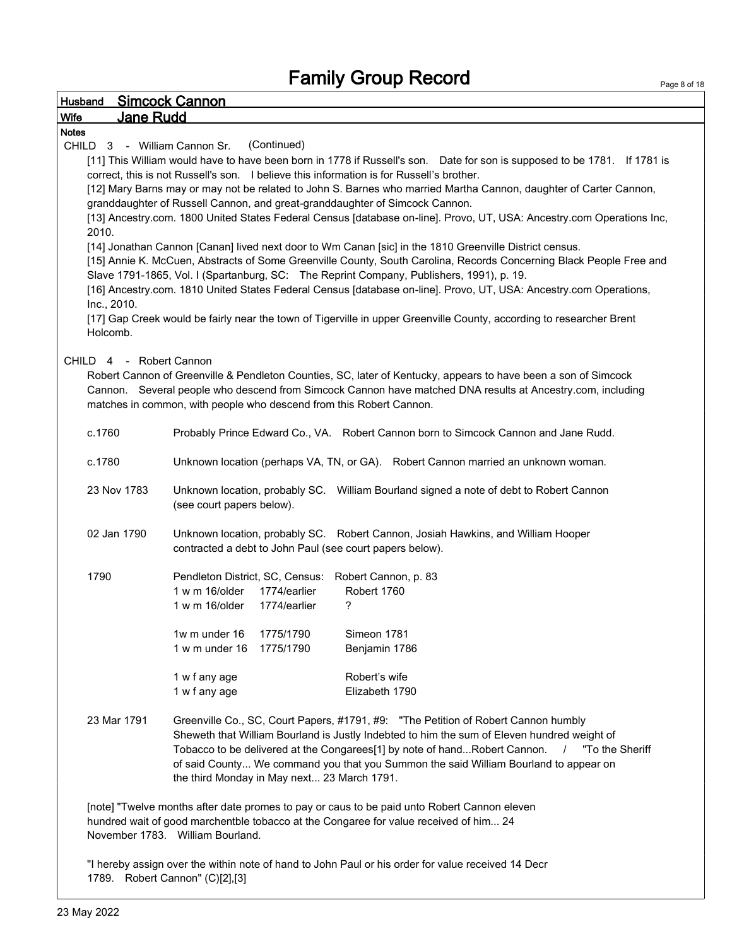| <b>Husband</b>                  | <b>Simcock Cannon</b>                                                                                                    |
|---------------------------------|--------------------------------------------------------------------------------------------------------------------------|
| <b>Wife</b><br><b>Jane Rudd</b> |                                                                                                                          |
| <b>Notes</b>                    |                                                                                                                          |
| CHILD 3 - William Cannon Sr.    | (Continued)                                                                                                              |
|                                 | [11] This William would have to have been born in 1778 if Russell's son. Date for son is supposed to be 1781. If 1781 is |
|                                 | correct, this is not Russell's son. I believe this information is for Russell's brother.                                 |
|                                 | [12] Mary Barns may or may not be related to John S. Barnes who married Martha Cannon, daughter of Carter Cannon,        |
|                                 | granddaughter of Russell Cannon, and great-granddaughter of Simcock Cannon.                                              |
|                                 | [13] Ancestry.com. 1800 United States Federal Census [database on-line]. Provo, UT, USA: Ancestry.com Operations Inc,    |
| 2010.                           |                                                                                                                          |
|                                 | [14] Jonathan Cannon [Canan] lived next door to Wm Canan [sic] in the 1810 Greenville District census.                   |
|                                 | [15] Annie K. McCuen, Abstracts of Some Greenville County, South Carolina, Records Concerning Black People Free and      |
|                                 | Slave 1791-1865, Vol. I (Spartanburg, SC: The Reprint Company, Publishers, 1991), p. 19.                                 |
|                                 | [16] Ancestry.com. 1810 United States Federal Census [database on-line]. Provo, UT, USA: Ancestry.com Operations,        |
| Inc., 2010.                     |                                                                                                                          |
|                                 | [17] Gap Creek would be fairly near the town of Tigerville in upper Greenville County, according to researcher Brent     |
| Holcomb.                        |                                                                                                                          |
|                                 |                                                                                                                          |
| CHILD 4                         | - Robert Cannon                                                                                                          |
|                                 | Robert Cannon of Greenville & Pendleton Counties, SC, later of Kentucky, appears to have been a son of Simcock           |
|                                 | Cannon. Several people who descend from Simcock Cannon have matched DNA results at Ancestry.com, including               |
|                                 | matches in common, with people who descend from this Robert Cannon.                                                      |
|                                 |                                                                                                                          |
| c.1760                          | Probably Prince Edward Co., VA. Robert Cannon born to Simcock Cannon and Jane Rudd.                                      |
|                                 |                                                                                                                          |
| c.1780                          | Unknown location (perhaps VA, TN, or GA). Robert Cannon married an unknown woman.                                        |
|                                 |                                                                                                                          |
| 23 Nov 1783                     | Unknown location, probably SC. William Bourland signed a note of debt to Robert Cannon                                   |
|                                 | (see court papers below).                                                                                                |
|                                 |                                                                                                                          |
| 02 Jan 1790                     | Unknown location, probably SC. Robert Cannon, Josiah Hawkins, and William Hooper                                         |
|                                 | contracted a debt to John Paul (see court papers below).                                                                 |
|                                 |                                                                                                                          |
| 1790                            | Pendleton District, SC, Census: Robert Cannon, p. 83                                                                     |
|                                 | Robert 1760<br>1 w m 16/older<br>1774/earlier                                                                            |
|                                 | 1 w m 16/older<br>1774/earlier<br>?                                                                                      |
|                                 |                                                                                                                          |
|                                 | 1w m under 16<br>1775/1790<br>Simeon 1781                                                                                |
|                                 | 1775/1790<br>1 w m under 16<br>Benjamin 1786                                                                             |
|                                 |                                                                                                                          |
|                                 | Robert's wife<br>1 w f any age                                                                                           |
|                                 | Elizabeth 1790<br>1 w f any age                                                                                          |
|                                 |                                                                                                                          |
| 23 Mar 1791                     | Greenville Co., SC, Court Papers, #1791, #9: "The Petition of Robert Cannon humbly                                       |
|                                 | Sheweth that William Bourland is Justly Indebted to him the sum of Eleven hundred weight of                              |
|                                 | Tobacco to be delivered at the Congarees[1] by note of handRobert Cannon.<br>"To the Sheriff                             |
|                                 | of said County We command you that you Summon the said William Bourland to appear on                                     |
|                                 | the third Monday in May next 23 March 1791.                                                                              |
|                                 |                                                                                                                          |

[note] "Twelve months after date promes to pay or caus to be paid unto Robert Cannon eleven hundred wait of good marchentble tobacco at the Congaree for value received of him... 24 November 1783. William Bourland.

"I hereby assign over the within note of hand to John Paul or his order for value received 14 Decr 1789. Robert Cannon" (C)[2],[3]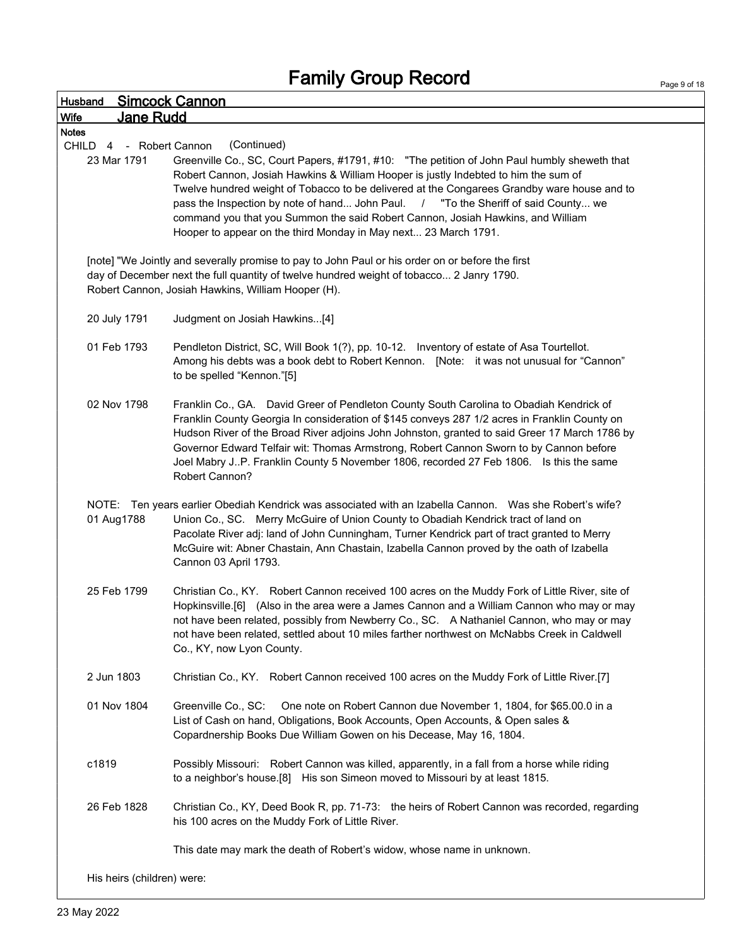|                                                           | <b>Simcock Cannon</b>                                                                                                                                                                                                                                                                                                                                                                                                                                                                           |
|-----------------------------------------------------------|-------------------------------------------------------------------------------------------------------------------------------------------------------------------------------------------------------------------------------------------------------------------------------------------------------------------------------------------------------------------------------------------------------------------------------------------------------------------------------------------------|
| Jane Rudd<br><b>Wife</b>                                  |                                                                                                                                                                                                                                                                                                                                                                                                                                                                                                 |
| <b>Notes</b><br>CHILD<br>4 - Robert Cannon<br>23 Mar 1791 | (Continued)<br>Greenville Co., SC, Court Papers, #1791, #10: "The petition of John Paul humbly sheweth that<br>Robert Cannon, Josiah Hawkins & William Hooper is justly Indebted to him the sum of<br>Twelve hundred weight of Tobacco to be delivered at the Congarees Grandby ware house and to                                                                                                                                                                                               |
|                                                           | pass the Inspection by note of hand John Paul. / "To the Sheriff of said County we<br>command you that you Summon the said Robert Cannon, Josiah Hawkins, and William<br>Hooper to appear on the third Monday in May next 23 March 1791.                                                                                                                                                                                                                                                        |
|                                                           | [note] "We Jointly and severally promise to pay to John Paul or his order on or before the first<br>day of December next the full quantity of twelve hundred weight of tobacco 2 Janry 1790.<br>Robert Cannon, Josiah Hawkins, William Hooper (H).                                                                                                                                                                                                                                              |
| 20 July 1791                                              | Judgment on Josiah Hawkins[4]                                                                                                                                                                                                                                                                                                                                                                                                                                                                   |
| 01 Feb 1793                                               | Pendleton District, SC, Will Book 1(?), pp. 10-12. Inventory of estate of Asa Tourtellot.<br>Among his debts was a book debt to Robert Kennon. [Note: it was not unusual for "Cannon"<br>to be spelled "Kennon."[5]                                                                                                                                                                                                                                                                             |
| 02 Nov 1798                                               | Franklin Co., GA. David Greer of Pendleton County South Carolina to Obadiah Kendrick of<br>Franklin County Georgia In consideration of \$145 conveys 287 1/2 acres in Franklin County on<br>Hudson River of the Broad River adjoins John Johnston, granted to said Greer 17 March 1786 by<br>Governor Edward Telfair wit: Thomas Armstrong, Robert Cannon Sworn to by Cannon before<br>Joel Mabry JP. Franklin County 5 November 1806, recorded 27 Feb 1806. Is this the same<br>Robert Cannon? |
| NOTE:<br>01 Aug1788                                       | Ten years earlier Obediah Kendrick was associated with an Izabella Cannon.  Was she Robert's wife?<br>Union Co., SC. Merry McGuire of Union County to Obadiah Kendrick tract of land on<br>Pacolate River adj: land of John Cunningham, Turner Kendrick part of tract granted to Merry<br>McGuire wit: Abner Chastain, Ann Chastain, Izabella Cannon proved by the oath of Izabella<br>Cannon 03 April 1793.                                                                                    |
| 25 Feb 1799                                               | Christian Co., KY. Robert Cannon received 100 acres on the Muddy Fork of Little River, site of<br>Hopkinsville.[6] (Also in the area were a James Cannon and a William Cannon who may or may<br>not have been related, possibly from Newberry Co., SC. A Nathaniel Cannon, who may or may<br>not have been related, settled about 10 miles farther northwest on McNabbs Creek in Caldwell<br>Co., KY, now Lyon County.                                                                          |
| 2 Jun 1803                                                | Christian Co., KY. Robert Cannon received 100 acres on the Muddy Fork of Little River.[7]                                                                                                                                                                                                                                                                                                                                                                                                       |
| 01 Nov 1804                                               | Greenville Co., SC:<br>One note on Robert Cannon due November 1, 1804, for \$65.00.0 in a<br>List of Cash on hand, Obligations, Book Accounts, Open Accounts, & Open sales &<br>Copardnership Books Due William Gowen on his Decease, May 16, 1804.                                                                                                                                                                                                                                             |
| c1819                                                     | Possibly Missouri: Robert Cannon was killed, apparently, in a fall from a horse while riding<br>to a neighbor's house.[8] His son Simeon moved to Missouri by at least 1815.                                                                                                                                                                                                                                                                                                                    |
|                                                           | Christian Co., KY, Deed Book R, pp. 71-73: the heirs of Robert Cannon was recorded, regarding                                                                                                                                                                                                                                                                                                                                                                                                   |
| 26 Feb 1828                                               | his 100 acres on the Muddy Fork of Little River.                                                                                                                                                                                                                                                                                                                                                                                                                                                |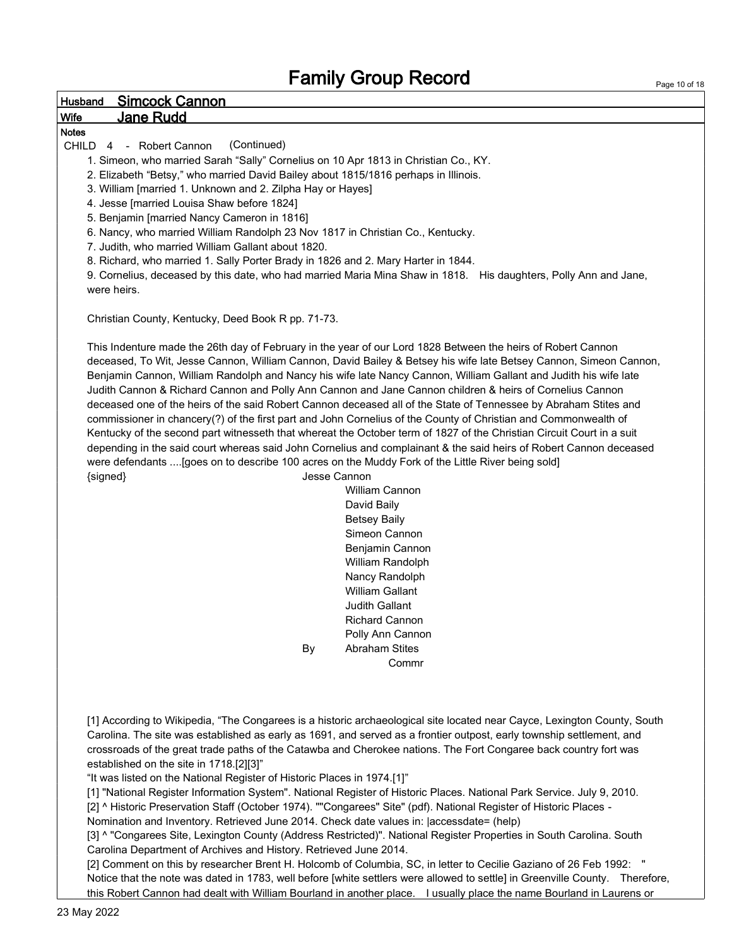### Husband Simcock Cannon

### Wife Jane Rudd

#### Notes

CHILD 4 - Robert Cannon (Continued)

1. Simeon, who married Sarah "Sally" Cornelius on 10 Apr 1813 in Christian Co., KY.

2. Elizabeth "Betsy," who married David Bailey about 1815/1816 perhaps in Illinois.

3. William [married 1. Unknown and 2. Zilpha Hay or Hayes]

4. Jesse [married Louisa Shaw before 1824]

5. Benjamin [married Nancy Cameron in 1816]

6. Nancy, who married William Randolph 23 Nov 1817 in Christian Co., Kentucky.

7. Judith, who married William Gallant about 1820.

8. Richard, who married 1. Sally Porter Brady in 1826 and 2. Mary Harter in 1844.

9. Cornelius, deceased by this date, who had married Maria Mina Shaw in 1818. His daughters, Polly Ann and Jane, were heirs.

Christian County, Kentucky, Deed Book R pp. 71-73.

This Indenture made the 26th day of February in the year of our Lord 1828 Between the heirs of Robert Cannon deceased, To Wit, Jesse Cannon, William Cannon, David Bailey & Betsey his wife late Betsey Cannon, Simeon Cannon, Benjamin Cannon, William Randolph and Nancy his wife late Nancy Cannon, William Gallant and Judith his wife late Judith Cannon & Richard Cannon and Polly Ann Cannon and Jane Cannon children & heirs of Cornelius Cannon deceased one of the heirs of the said Robert Cannon deceased all of the State of Tennessee by Abraham Stites and commissioner in chancery(?) of the first part and John Cornelius of the County of Christian and Commonwealth of Kentucky of the second part witnesseth that whereat the October term of 1827 of the Christian Circuit Court in a suit depending in the said court whereas said John Cornelius and complainant & the said heirs of Robert Cannon deceased were defendants ....[goes on to describe 100 acres on the Muddy Fork of the Little River being sold] {signed} Jesse Cannon

> William Cannon David Baily Betsey Baily Simeon Cannon Benjamin Cannon William Randolph Nancy Randolph William Gallant Judith Gallant Richard Cannon Polly Ann Cannon By Abraham Stites Commr

[1] According to Wikipedia, "The Congarees is a historic archaeological site located near Cayce, Lexington County, South Carolina. The site was established as early as 1691, and served as a frontier outpost, early township settlement, and crossroads of the great trade paths of the Catawba and Cherokee nations. The Fort Congaree back country fort was established on the site in 1718.[2][3]"

"It was listed on the National Register of Historic Places in 1974.[1]"

[1] "National Register Information System". National Register of Historic Places. National Park Service. July 9, 2010.

[2] ^ Historic Preservation Staff (October 1974). ""Congarees" Site" (pdf). National Register of Historic Places -

Nomination and Inventory. Retrieved June 2014. Check date values in: |accessdate= (help)

[3] ^ "Congarees Site, Lexington County (Address Restricted)". National Register Properties in South Carolina. South Carolina Department of Archives and History. Retrieved June 2014.

[2] Comment on this by researcher Brent H. Holcomb of Columbia, SC, in letter to Cecilie Gaziano of 26 Feb 1992: " Notice that the note was dated in 1783, well before [white settlers were allowed to settle] in Greenville County. Therefore, this Robert Cannon had dealt with William Bourland in another place. I usually place the name Bourland in Laurens or

Page 10 of 18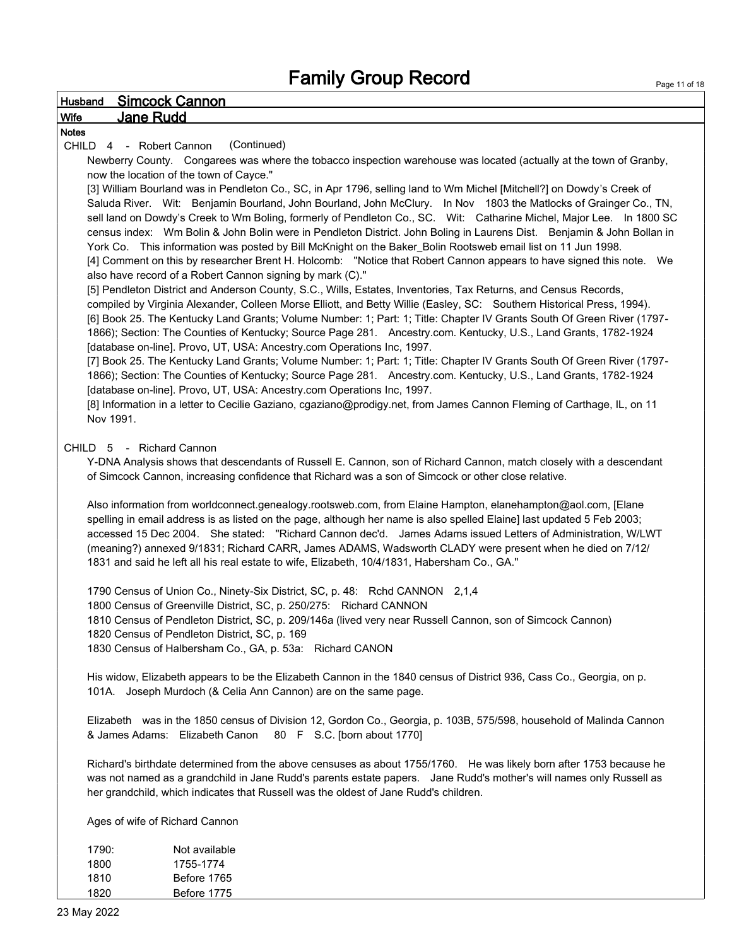### Husband Simcock Cannon Wife Jane Rudd Notes CHILD 4 - Robert Cannon (Continued) Newberry County. Congarees was where the tobacco inspection warehouse was located (actually at the town of Granby, now the location of the town of Cayce." [3] William Bourland was in Pendleton Co., SC, in Apr 1796, selling land to Wm Michel [Mitchell?] on Dowdy's Creek of Saluda River. Wit: Benjamin Bourland, John Bourland, John McClury. In Nov 1803 the Matlocks of Grainger Co., TN, sell land on Dowdy's Creek to Wm Boling, formerly of Pendleton Co., SC. Wit: Catharine Michel, Major Lee. In 1800 SC census index: Wm Bolin & John Bolin were in Pendleton District. John Boling in Laurens Dist. Benjamin & John Bollan in York Co. This information was posted by Bill McKnight on the Baker\_Bolin Rootsweb email list on 11 Jun 1998. [4] Comment on this by researcher Brent H. Holcomb: "Notice that Robert Cannon appears to have signed this note. We also have record of a Robert Cannon signing by mark (C)." [5] Pendleton District and Anderson County, S.C., Wills, Estates, Inventories, Tax Returns, and Census Records, compiled by Virginia Alexander, Colleen Morse Elliott, and Betty Willie (Easley, SC: Southern Historical Press, 1994). [6] Book 25. The Kentucky Land Grants; Volume Number: 1; Part: 1; Title: Chapter IV Grants South Of Green River (1797- 1866); Section: The Counties of Kentucky; Source Page 281. Ancestry.com. Kentucky, U.S., Land Grants, 1782-1924 [database on-line]. Provo, UT, USA: Ancestry.com Operations Inc, 1997. [7] Book 25. The Kentucky Land Grants; Volume Number: 1; Part: 1; Title: Chapter IV Grants South Of Green River (1797- 1866); Section: The Counties of Kentucky; Source Page 281. Ancestry.com. Kentucky, U.S., Land Grants, 1782-1924 [database on-line]. Provo, UT, USA: Ancestry.com Operations Inc, 1997. [8] Information in a letter to Cecilie Gaziano, cgaziano@prodigy.net, from James Cannon Fleming of Carthage, IL, on 11 Nov 1991. CHILD 5 - Richard Cannon Y-DNA Analysis shows that descendants of Russell E. Cannon, son of Richard Cannon, match closely with a descendant of Simcock Cannon, increasing confidence that Richard was a son of Simcock or other close relative. Also information from worldconnect.genealogy.rootsweb.com, from Elaine Hampton, elanehampton@aol.com, [Elane spelling in email address is as listed on the page, although her name is also spelled Elaine] last updated 5 Feb 2003; accessed 15 Dec 2004. She stated: "Richard Cannon dec'd. James Adams issued Letters of Administration, W/LWT (meaning?) annexed 9/1831; Richard CARR, James ADAMS, Wadsworth CLADY were present when he died on 7/12/ 1831 and said he left all his real estate to wife, Elizabeth, 10/4/1831, Habersham Co., GA." 1790 Census of Union Co., Ninety-Six District, SC, p. 48: Rchd CANNON 2,1,4 1800 Census of Greenville District, SC, p. 250/275: Richard CANNON 1810 Census of Pendleton District, SC, p. 209/146a (lived very near Russell Cannon, son of Simcock Cannon) 1820 Census of Pendleton District, SC, p. 169 1830 Census of Halbersham Co., GA, p. 53a: Richard CANON His widow, Elizabeth appears to be the Elizabeth Cannon in the 1840 census of District 936, Cass Co., Georgia, on p. 101A. Joseph Murdoch (& Celia Ann Cannon) are on the same page. Elizabeth was in the 1850 census of Division 12, Gordon Co., Georgia, p. 103B, 575/598, household of Malinda Cannon & James Adams: Elizabeth Canon 80 F S.C. [born about 1770] Richard's birthdate determined from the above censuses as about 1755/1760. He was likely born after 1753 because he was not named as a grandchild in Jane Rudd's parents estate papers. Jane Rudd's mother's will names only Russell as her grandchild, which indicates that Russell was the oldest of Jane Rudd's children. Ages of wife of Richard Cannon

1790: Not available 1755-1774 Before 1765 Before 1775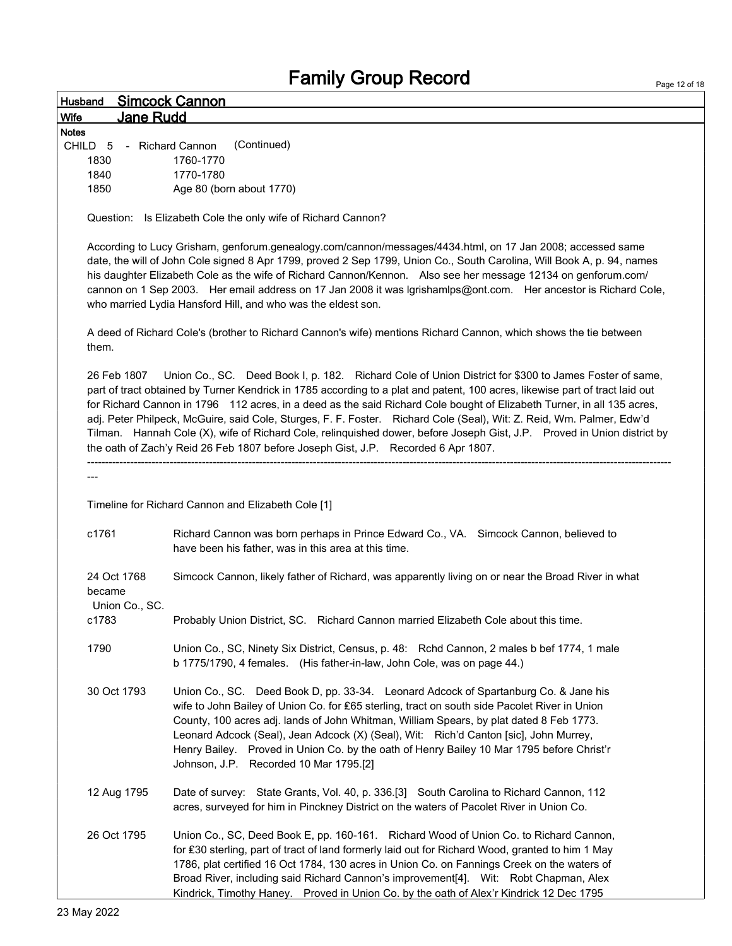|                                         | <b>Fallilly OIOUD NECOLU</b>                                                                                                                                                                                                                                                                                                                                                                                                                                                                                                                                                                                                                                                                            | Page 12 of 18 |
|-----------------------------------------|---------------------------------------------------------------------------------------------------------------------------------------------------------------------------------------------------------------------------------------------------------------------------------------------------------------------------------------------------------------------------------------------------------------------------------------------------------------------------------------------------------------------------------------------------------------------------------------------------------------------------------------------------------------------------------------------------------|---------------|
| Husband                                 | <u>Simcock Cannon</u>                                                                                                                                                                                                                                                                                                                                                                                                                                                                                                                                                                                                                                                                                   |               |
| Wife                                    | <b>Jane Rudd</b>                                                                                                                                                                                                                                                                                                                                                                                                                                                                                                                                                                                                                                                                                        |               |
| <b>Notes</b>                            |                                                                                                                                                                                                                                                                                                                                                                                                                                                                                                                                                                                                                                                                                                         |               |
| CHILD 5                                 | - Richard Cannon<br>(Continued)                                                                                                                                                                                                                                                                                                                                                                                                                                                                                                                                                                                                                                                                         |               |
| 1830                                    | 1760-1770                                                                                                                                                                                                                                                                                                                                                                                                                                                                                                                                                                                                                                                                                               |               |
| 1840                                    | 1770-1780                                                                                                                                                                                                                                                                                                                                                                                                                                                                                                                                                                                                                                                                                               |               |
| 1850                                    | Age 80 (born about 1770)                                                                                                                                                                                                                                                                                                                                                                                                                                                                                                                                                                                                                                                                                |               |
|                                         | Question: Is Elizabeth Cole the only wife of Richard Cannon?                                                                                                                                                                                                                                                                                                                                                                                                                                                                                                                                                                                                                                            |               |
|                                         | According to Lucy Grisham, genforum.genealogy.com/cannon/messages/4434.html, on 17 Jan 2008; accessed same<br>date, the will of John Cole signed 8 Apr 1799, proved 2 Sep 1799, Union Co., South Carolina, Will Book A, p. 94, names<br>his daughter Elizabeth Cole as the wife of Richard Cannon/Kennon. Also see her message 12134 on genforum.com/<br>cannon on 1 Sep 2003. Her email address on 17 Jan 2008 it was Igrishamlps@ont.com. Her ancestor is Richard Cole,<br>who married Lydia Hansford Hill, and who was the eldest son.                                                                                                                                                               |               |
| them.                                   | A deed of Richard Cole's (brother to Richard Cannon's wife) mentions Richard Cannon, which shows the tie between                                                                                                                                                                                                                                                                                                                                                                                                                                                                                                                                                                                        |               |
| 26 Feb 1807                             | Union Co., SC. Deed Book I, p. 182. Richard Cole of Union District for \$300 to James Foster of same,<br>part of tract obtained by Turner Kendrick in 1785 according to a plat and patent, 100 acres, likewise part of tract laid out<br>for Richard Cannon in 1796 112 acres, in a deed as the said Richard Cole bought of Elizabeth Turner, in all 135 acres,<br>adj. Peter Philpeck, McGuire, said Cole, Sturges, F. F. Foster. Richard Cole (Seal), Wit: Z. Reid, Wm. Palmer, Edw'd<br>Tilman. Hannah Cole (X), wife of Richard Cole, relinquished dower, before Joseph Gist, J.P. Proved in Union district by<br>the oath of Zach'y Reid 26 Feb 1807 before Joseph Gist, J.P. Recorded 6 Apr 1807. |               |
|                                         |                                                                                                                                                                                                                                                                                                                                                                                                                                                                                                                                                                                                                                                                                                         |               |
|                                         |                                                                                                                                                                                                                                                                                                                                                                                                                                                                                                                                                                                                                                                                                                         |               |
|                                         | Timeline for Richard Cannon and Elizabeth Cole [1]                                                                                                                                                                                                                                                                                                                                                                                                                                                                                                                                                                                                                                                      |               |
|                                         |                                                                                                                                                                                                                                                                                                                                                                                                                                                                                                                                                                                                                                                                                                         |               |
| c1761                                   | Richard Cannon was born perhaps in Prince Edward Co., VA. Simcock Cannon, believed to<br>have been his father, was in this area at this time.                                                                                                                                                                                                                                                                                                                                                                                                                                                                                                                                                           |               |
| 24 Oct 1768<br>became<br>Union Co., SC. | Simcock Cannon, likely father of Richard, was apparently living on or near the Broad River in what                                                                                                                                                                                                                                                                                                                                                                                                                                                                                                                                                                                                      |               |
| c1783                                   | Probably Union District, SC. Richard Cannon married Elizabeth Cole about this time.                                                                                                                                                                                                                                                                                                                                                                                                                                                                                                                                                                                                                     |               |
| 1790                                    | Union Co., SC, Ninety Six District, Census, p. 48: Rchd Cannon, 2 males b bef 1774, 1 male<br>b 1775/1790, 4 females. (His father-in-law, John Cole, was on page 44.)                                                                                                                                                                                                                                                                                                                                                                                                                                                                                                                                   |               |
| 30 Oct 1793                             | Union Co., SC. Deed Book D, pp. 33-34. Leonard Adcock of Spartanburg Co. & Jane his<br>wife to John Bailey of Union Co. for £65 sterling, tract on south side Pacolet River in Union<br>County, 100 acres adj. lands of John Whitman, William Spears, by plat dated 8 Feb 1773.<br>Leonard Adcock (Seal), Jean Adcock (X) (Seal), Wit: Rich'd Canton [sic], John Murrey,<br>Henry Bailey. Proved in Union Co. by the oath of Henry Bailey 10 Mar 1795 before Christ'r<br>Johnson, J.P. Recorded 10 Mar 1795.[2]                                                                                                                                                                                         |               |
| 12 Aug 1795                             | Date of survey: State Grants, Vol. 40, p. 336.[3] South Carolina to Richard Cannon, 112<br>acres, surveyed for him in Pinckney District on the waters of Pacolet River in Union Co.                                                                                                                                                                                                                                                                                                                                                                                                                                                                                                                     |               |
| 26 Oct 1795                             | Union Co., SC, Deed Book E, pp. 160-161. Richard Wood of Union Co. to Richard Cannon,<br>for £30 sterling, part of tract of land formerly laid out for Richard Wood, granted to him 1 May<br>1786, plat certified 16 Oct 1784, 130 acres in Union Co. on Fannings Creek on the waters of<br>Broad River, including said Richard Cannon's improvement[4]. Wit: Robt Chapman, Alex<br>Kindrick, Timothy Haney. Proved in Union Co. by the oath of Alex'r Kindrick 12 Dec 1795                                                                                                                                                                                                                             |               |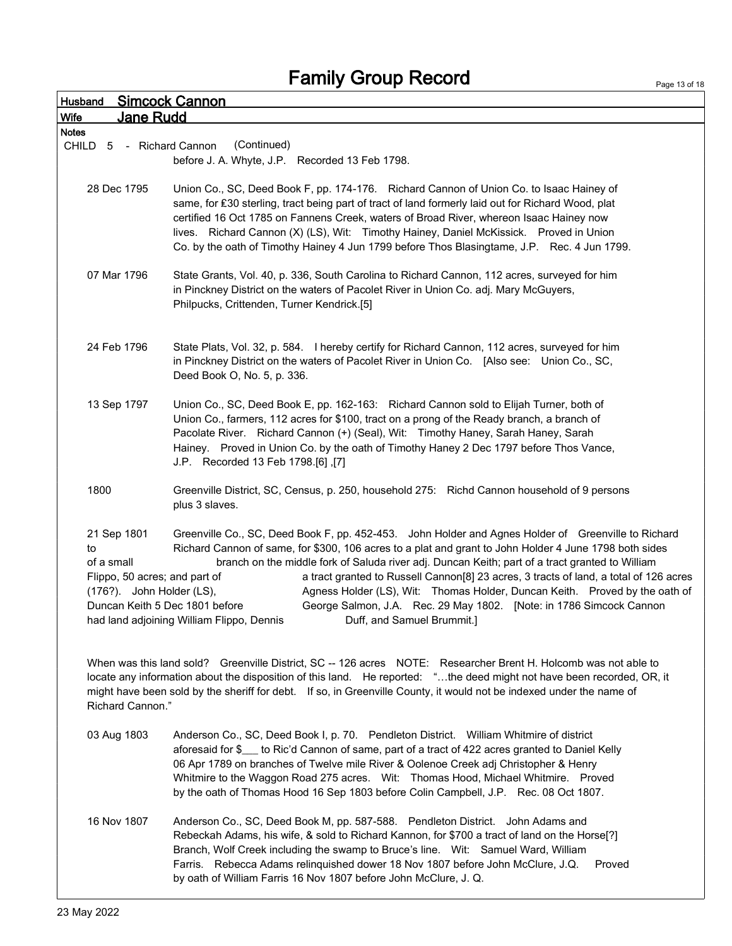| <b>Husband</b>   |                                                                           | <b>Simcock Cannon</b>                                                                                                                                                                                                                                                                                                                                                                                                                                                                                                                                                                                                                                                        |
|------------------|---------------------------------------------------------------------------|------------------------------------------------------------------------------------------------------------------------------------------------------------------------------------------------------------------------------------------------------------------------------------------------------------------------------------------------------------------------------------------------------------------------------------------------------------------------------------------------------------------------------------------------------------------------------------------------------------------------------------------------------------------------------|
| Wife             | Jane Rudd                                                                 |                                                                                                                                                                                                                                                                                                                                                                                                                                                                                                                                                                                                                                                                              |
| <b>Notes</b>     |                                                                           |                                                                                                                                                                                                                                                                                                                                                                                                                                                                                                                                                                                                                                                                              |
| CHILD<br>5       | - Richard Cannon                                                          | (Continued)                                                                                                                                                                                                                                                                                                                                                                                                                                                                                                                                                                                                                                                                  |
|                  |                                                                           | before J. A. Whyte, J.P. Recorded 13 Feb 1798.                                                                                                                                                                                                                                                                                                                                                                                                                                                                                                                                                                                                                               |
|                  | 28 Dec 1795                                                               | Union Co., SC, Deed Book F, pp. 174-176. Richard Cannon of Union Co. to Isaac Hainey of<br>same, for £30 sterling, tract being part of tract of land formerly laid out for Richard Wood, plat<br>certified 16 Oct 1785 on Fannens Creek, waters of Broad River, whereon Isaac Hainey now<br>lives. Richard Cannon (X) (LS), Wit: Timothy Hainey, Daniel McKissick. Proved in Union<br>Co. by the oath of Timothy Hainey 4 Jun 1799 before Thos Blasingtame, J.P. Rec. 4 Jun 1799.                                                                                                                                                                                            |
|                  | 07 Mar 1796                                                               | State Grants, Vol. 40, p. 336, South Carolina to Richard Cannon, 112 acres, surveyed for him<br>in Pinckney District on the waters of Pacolet River in Union Co. adj. Mary McGuyers,<br>Philpucks, Crittenden, Turner Kendrick.[5]                                                                                                                                                                                                                                                                                                                                                                                                                                           |
|                  | 24 Feb 1796                                                               | State Plats, Vol. 32, p. 584. I hereby certify for Richard Cannon, 112 acres, surveyed for him<br>in Pinckney District on the waters of Pacolet River in Union Co. [Also see: Union Co., SC,<br>Deed Book O, No. 5, p. 336.                                                                                                                                                                                                                                                                                                                                                                                                                                                  |
|                  | 13 Sep 1797                                                               | Union Co., SC, Deed Book E, pp. 162-163: Richard Cannon sold to Elijah Turner, both of<br>Union Co., farmers, 112 acres for \$100, tract on a prong of the Ready branch, a branch of<br>Pacolate River. Richard Cannon (+) (Seal), Wit: Timothy Haney, Sarah Haney, Sarah<br>Hainey. Proved in Union Co. by the oath of Timothy Haney 2 Dec 1797 before Thos Vance,<br>J.P. Recorded 13 Feb 1798.[6],[7]                                                                                                                                                                                                                                                                     |
| 1800             |                                                                           | Greenville District, SC, Census, p. 250, household 275: Richd Cannon household of 9 persons<br>plus 3 slaves.                                                                                                                                                                                                                                                                                                                                                                                                                                                                                                                                                                |
| to<br>of a small | 21 Sep 1801<br>Flippo, 50 acres; and part of<br>(176?). John Holder (LS), | Greenville Co., SC, Deed Book F, pp. 452-453. John Holder and Agnes Holder of Greenville to Richard<br>Richard Cannon of same, for \$300, 106 acres to a plat and grant to John Holder 4 June 1798 both sides<br>branch on the middle fork of Saluda river adj. Duncan Keith; part of a tract granted to William<br>a tract granted to Russell Cannon[8] 23 acres, 3 tracts of land, a total of 126 acres<br>Agness Holder (LS), Wit: Thomas Holder, Duncan Keith. Proved by the oath of<br>Duncan Keith 5 Dec 1801 before<br>George Salmon, J.A. Rec. 29 May 1802. [Note: in 1786 Simcock Cannon<br>had land adjoining William Flippo, Dennis<br>Duff, and Samuel Brummit.] |
|                  | Richard Cannon."                                                          | When was this land sold? Greenville District, SC -- 126 acres NOTE: Researcher Brent H. Holcomb was not able to<br>locate any information about the disposition of this land. He reported: "the deed might not have been recorded, OR, it<br>might have been sold by the sheriff for debt. If so, in Greenville County, it would not be indexed under the name of                                                                                                                                                                                                                                                                                                            |
|                  | 03 Aug 1803                                                               | Anderson Co., SC, Deed Book I, p. 70. Pendleton District. William Whitmire of district<br>aforesaid for \$___ to Ric'd Cannon of same, part of a tract of 422 acres granted to Daniel Kelly<br>06 Apr 1789 on branches of Twelve mile River & Oolenoe Creek adj Christopher & Henry<br>Whitmire to the Waggon Road 275 acres.  Wit: Thomas Hood, Michael Whitmire.  Proved<br>by the oath of Thomas Hood 16 Sep 1803 before Colin Campbell, J.P. Rec. 08 Oct 1807.                                                                                                                                                                                                           |
|                  | 16 Nov 1807                                                               | Anderson Co., SC, Deed Book M, pp. 587-588. Pendleton District. John Adams and<br>Rebeckah Adams, his wife, & sold to Richard Kannon, for \$700 a tract of land on the Horse[?]<br>Branch, Wolf Creek including the swamp to Bruce's line. Wit: Samuel Ward, William<br>Farris. Rebecca Adams relinguished dower 18 Nov 1807 before John McClure, J.Q.<br>Proved<br>by oath of William Farris 16 Nov 1807 before John McClure, J. Q.                                                                                                                                                                                                                                         |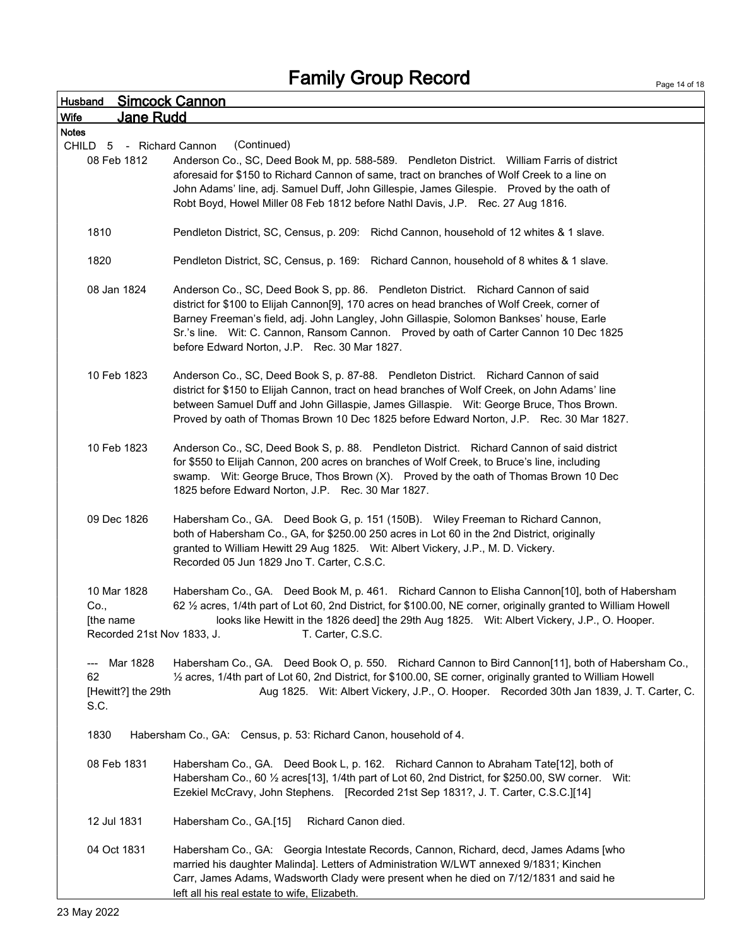Page 14 of 18

| Husband                    | <u>Simcock Cannon</u>                                                                                             |
|----------------------------|-------------------------------------------------------------------------------------------------------------------|
| Wife<br><u>Jane Rudd</u>   |                                                                                                                   |
| <b>Notes</b>               |                                                                                                                   |
| CHILD 5 - Richard Cannon   | (Continued)                                                                                                       |
| 08 Feb 1812                | Anderson Co., SC, Deed Book M, pp. 588-589. Pendleton District. William Farris of district                        |
|                            | aforesaid for \$150 to Richard Cannon of same, tract on branches of Wolf Creek to a line on                       |
|                            | John Adams' line, adj. Samuel Duff, John Gillespie, James Gilespie. Proved by the oath of                         |
|                            | Robt Boyd, Howel Miller 08 Feb 1812 before Nathl Davis, J.P. Rec. 27 Aug 1816.                                    |
| 1810                       | Pendleton District, SC, Census, p. 209: Richd Cannon, household of 12 whites & 1 slave.                           |
| 1820                       | Pendleton District, SC, Census, p. 169: Richard Cannon, household of 8 whites & 1 slave.                          |
| 08 Jan 1824                | Anderson Co., SC, Deed Book S, pp. 86. Pendleton District. Richard Cannon of said                                 |
|                            | district for \$100 to Elijah Cannon[9], 170 acres on head branches of Wolf Creek, corner of                       |
|                            | Barney Freeman's field, adj. John Langley, John Gillaspie, Solomon Bankses' house, Earle                          |
|                            | Sr.'s line. Wit: C. Cannon, Ransom Cannon. Proved by oath of Carter Cannon 10 Dec 1825                            |
|                            | before Edward Norton, J.P. Rec. 30 Mar 1827.                                                                      |
|                            |                                                                                                                   |
| 10 Feb 1823                | Anderson Co., SC, Deed Book S, p. 87-88. Pendleton District. Richard Cannon of said                               |
|                            | district for \$150 to Elijah Cannon, tract on head branches of Wolf Creek, on John Adams' line                    |
|                            | between Samuel Duff and John Gillaspie, James Gillaspie. Wit: George Bruce, Thos Brown.                           |
|                            | Proved by oath of Thomas Brown 10 Dec 1825 before Edward Norton, J.P. Rec. 30 Mar 1827.                           |
|                            |                                                                                                                   |
| 10 Feb 1823                | Anderson Co., SC, Deed Book S, p. 88. Pendleton District. Richard Cannon of said district                         |
|                            | for \$550 to Elijah Cannon, 200 acres on branches of Wolf Creek, to Bruce's line, including                       |
|                            | swamp. Wit: George Bruce, Thos Brown (X). Proved by the oath of Thomas Brown 10 Dec                               |
|                            | 1825 before Edward Norton, J.P. Rec. 30 Mar 1827.                                                                 |
|                            |                                                                                                                   |
| 09 Dec 1826                | Habersham Co., GA. Deed Book G, p. 151 (150B). Wiley Freeman to Richard Cannon,                                   |
|                            | both of Habersham Co., GA, for \$250.00 250 acres in Lot 60 in the 2nd District, originally                       |
|                            | granted to William Hewitt 29 Aug 1825. Wit: Albert Vickery, J.P., M. D. Vickery.                                  |
|                            | Recorded 05 Jun 1829 Jno T. Carter, C.S.C.                                                                        |
|                            |                                                                                                                   |
| 10 Mar 1828                | Habersham Co., GA. Deed Book M, p. 461. Richard Cannon to Elisha Cannon[10], both of Habersham                    |
| Co.,                       | 62 1/2 acres, 1/4th part of Lot 60, 2nd District, for \$100.00, NE corner, originally granted to William Howell   |
| [the name                  | looks like Hewitt in the 1826 deed] the 29th Aug 1825. Wit: Albert Vickery, J.P., O. Hooper.<br>T. Carter, C.S.C. |
| Recorded 21st Nov 1833, J. |                                                                                                                   |
| Mar 1828                   | Habersham Co., GA. Deed Book O, p. 550. Richard Cannon to Bird Cannon[11], both of Habersham Co.,                 |
| ---<br>62                  | 1/2 acres, 1/4th part of Lot 60, 2nd District, for \$100.00, SE corner, originally granted to William Howell      |
| [Hewitt?] the 29th         | Aug 1825. Wit: Albert Vickery, J.P., O. Hooper. Recorded 30th Jan 1839, J. T. Carter, C.                          |
| S.C.                       |                                                                                                                   |
|                            |                                                                                                                   |
| 1830                       | Habersham Co., GA: Census, p. 53: Richard Canon, household of 4.                                                  |
| 08 Feb 1831                | Habersham Co., GA. Deed Book L, p. 162. Richard Cannon to Abraham Tate[12], both of                               |
|                            | Habersham Co., 60 1/2 acres[13], 1/4th part of Lot 60, 2nd District, for \$250.00, SW corner. Wit:                |
|                            | Ezekiel McCravy, John Stephens. [Recorded 21st Sep 1831?, J. T. Carter, C.S.C.][14]                               |
|                            |                                                                                                                   |
| 12 Jul 1831                | Habersham Co., GA.[15]<br>Richard Canon died.                                                                     |
|                            |                                                                                                                   |
| 04 Oct 1831                | Habersham Co., GA: Georgia Intestate Records, Cannon, Richard, decd, James Adams [who                             |
|                            | married his daughter Malinda]. Letters of Administration W/LWT annexed 9/1831; Kinchen                            |
|                            | Carr, James Adams, Wadsworth Clady were present when he died on 7/12/1831 and said he                             |
|                            | left all his real estate to wife, Elizabeth.                                                                      |
|                            |                                                                                                                   |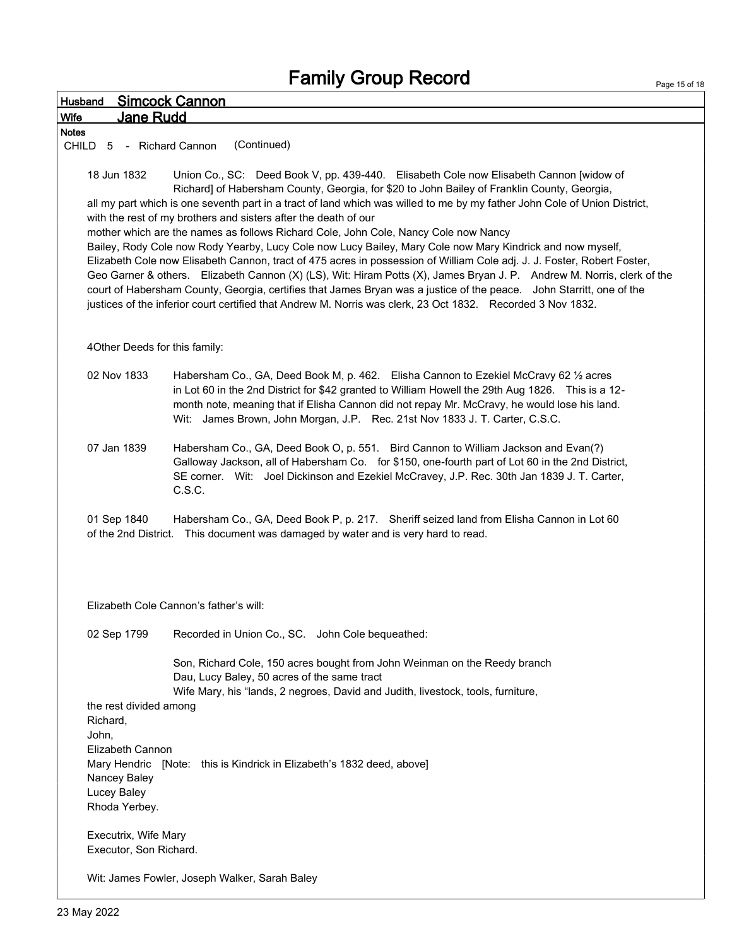| <b>Simcock Cannon</b><br>Husband                                                                                                                                                                                                                                                                                                                                                                                                                                                                                                                                                                                                                                                                                                                                                                                                                                                                                                                                                                                                                                                                     |
|------------------------------------------------------------------------------------------------------------------------------------------------------------------------------------------------------------------------------------------------------------------------------------------------------------------------------------------------------------------------------------------------------------------------------------------------------------------------------------------------------------------------------------------------------------------------------------------------------------------------------------------------------------------------------------------------------------------------------------------------------------------------------------------------------------------------------------------------------------------------------------------------------------------------------------------------------------------------------------------------------------------------------------------------------------------------------------------------------|
| Jane Rudd<br><b>Wife</b>                                                                                                                                                                                                                                                                                                                                                                                                                                                                                                                                                                                                                                                                                                                                                                                                                                                                                                                                                                                                                                                                             |
| <b>Notes</b>                                                                                                                                                                                                                                                                                                                                                                                                                                                                                                                                                                                                                                                                                                                                                                                                                                                                                                                                                                                                                                                                                         |
| (Continued)<br>CHILD 5 - Richard Cannon                                                                                                                                                                                                                                                                                                                                                                                                                                                                                                                                                                                                                                                                                                                                                                                                                                                                                                                                                                                                                                                              |
| 18 Jun 1832<br>Union Co., SC: Deed Book V, pp. 439-440. Elisabeth Cole now Elisabeth Cannon [widow of<br>Richard] of Habersham County, Georgia, for \$20 to John Bailey of Franklin County, Georgia,<br>all my part which is one seventh part in a tract of land which was willed to me by my father John Cole of Union District,<br>with the rest of my brothers and sisters after the death of our<br>mother which are the names as follows Richard Cole, John Cole, Nancy Cole now Nancy<br>Bailey, Rody Cole now Rody Yearby, Lucy Cole now Lucy Bailey, Mary Cole now Mary Kindrick and now myself,<br>Elizabeth Cole now Elisabeth Cannon, tract of 475 acres in possession of William Cole adj. J. J. Foster, Robert Foster,<br>Geo Garner & others. Elizabeth Cannon (X) (LS), Wit: Hiram Potts (X), James Bryan J. P. Andrew M. Norris, clerk of the<br>court of Habersham County, Georgia, certifies that James Bryan was a justice of the peace. John Starritt, one of the<br>justices of the inferior court certified that Andrew M. Norris was clerk, 23 Oct 1832. Recorded 3 Nov 1832. |
| 4Other Deeds for this family:                                                                                                                                                                                                                                                                                                                                                                                                                                                                                                                                                                                                                                                                                                                                                                                                                                                                                                                                                                                                                                                                        |
| 02 Nov 1833<br>Habersham Co., GA, Deed Book M, p. 462. Elisha Cannon to Ezekiel McCravy 62 1/2 acres<br>in Lot 60 in the 2nd District for \$42 granted to William Howell the 29th Aug 1826. This is a 12-<br>month note, meaning that if Elisha Cannon did not repay Mr. McCravy, he would lose his land.<br>Wit: James Brown, John Morgan, J.P. Rec. 21st Nov 1833 J. T. Carter, C.S.C.                                                                                                                                                                                                                                                                                                                                                                                                                                                                                                                                                                                                                                                                                                             |
| 07 Jan 1839<br>Habersham Co., GA, Deed Book O, p. 551. Bird Cannon to William Jackson and Evan(?)<br>Galloway Jackson, all of Habersham Co. for \$150, one-fourth part of Lot 60 in the 2nd District,<br>SE corner. Wit: Joel Dickinson and Ezekiel McCravey, J.P. Rec. 30th Jan 1839 J. T. Carter,<br>C.S.C.                                                                                                                                                                                                                                                                                                                                                                                                                                                                                                                                                                                                                                                                                                                                                                                        |
| 01 Sep 1840<br>Habersham Co., GA, Deed Book P, p. 217. Sheriff seized land from Elisha Cannon in Lot 60<br>of the 2nd District. This document was damaged by water and is very hard to read.                                                                                                                                                                                                                                                                                                                                                                                                                                                                                                                                                                                                                                                                                                                                                                                                                                                                                                         |
| Elizabeth Cole Cannon's father's will:                                                                                                                                                                                                                                                                                                                                                                                                                                                                                                                                                                                                                                                                                                                                                                                                                                                                                                                                                                                                                                                               |
| 02 Sep 1799<br>Recorded in Union Co., SC. John Cole bequeathed:                                                                                                                                                                                                                                                                                                                                                                                                                                                                                                                                                                                                                                                                                                                                                                                                                                                                                                                                                                                                                                      |
| Son, Richard Cole, 150 acres bought from John Weinman on the Reedy branch<br>Dau, Lucy Baley, 50 acres of the same tract<br>Wife Mary, his "lands, 2 negroes, David and Judith, livestock, tools, furniture,                                                                                                                                                                                                                                                                                                                                                                                                                                                                                                                                                                                                                                                                                                                                                                                                                                                                                         |
| the rest divided among<br>Richard,<br>John,<br>Elizabeth Cannon                                                                                                                                                                                                                                                                                                                                                                                                                                                                                                                                                                                                                                                                                                                                                                                                                                                                                                                                                                                                                                      |
| Mary Hendric [Note: this is Kindrick in Elizabeth's 1832 deed, above]<br>Nancey Baley<br>Lucey Baley<br>Rhoda Yerbey.                                                                                                                                                                                                                                                                                                                                                                                                                                                                                                                                                                                                                                                                                                                                                                                                                                                                                                                                                                                |
| Executrix, Wife Mary<br>Executor, Son Richard.                                                                                                                                                                                                                                                                                                                                                                                                                                                                                                                                                                                                                                                                                                                                                                                                                                                                                                                                                                                                                                                       |
| Wit: James Fowler, Joseph Walker, Sarah Baley                                                                                                                                                                                                                                                                                                                                                                                                                                                                                                                                                                                                                                                                                                                                                                                                                                                                                                                                                                                                                                                        |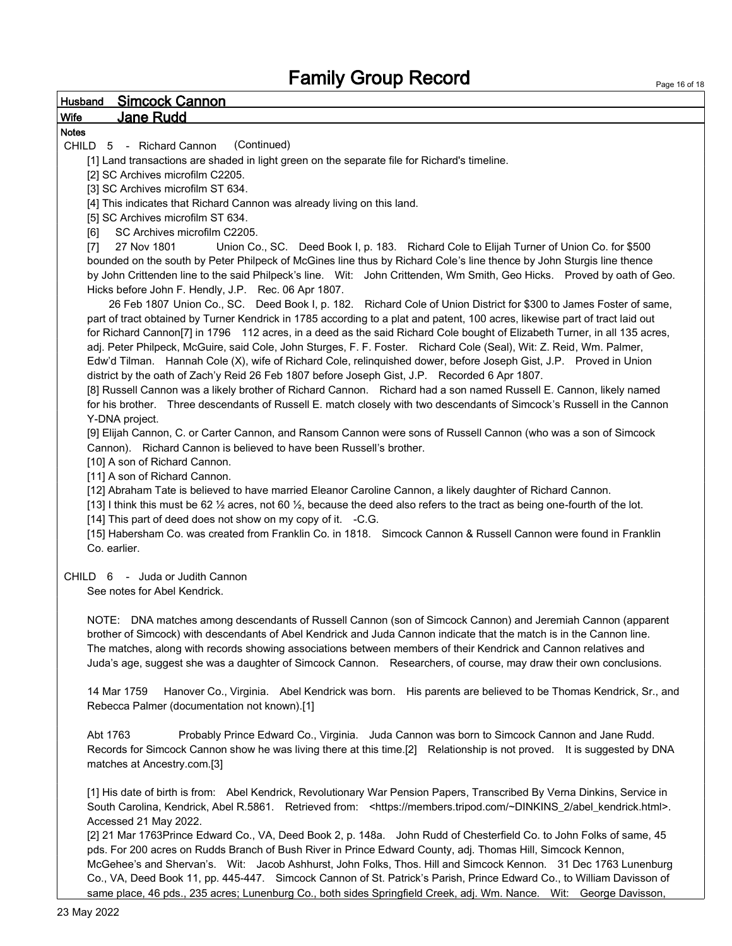### Husband Simcock Cannon Wife Jane Rudd

### Notes

CHILD 5 - Richard Cannon (Continued)

[1] Land transactions are shaded in light green on the separate file for Richard's timeline.

[2] SC Archives microfilm C2205.

[3] SC Archives microfilm ST 634.

[4] This indicates that Richard Cannon was already living on this land.

[5] SC Archives microfilm ST 634.

[6] SC Archives microfilm C2205.

[7] 27 Nov 1801 Union Co., SC. Deed Book I, p. 183. Richard Cole to Elijah Turner of Union Co. for \$500 bounded on the south by Peter Philpeck of McGines line thus by Richard Cole's line thence by John Sturgis line thence by John Crittenden line to the said Philpeck's line. Wit: John Crittenden, Wm Smith, Geo Hicks. Proved by oath of Geo. Hicks before John F. Hendly, J.P. Rec. 06 Apr 1807.

 26 Feb 1807 Union Co., SC. Deed Book I, p. 182. Richard Cole of Union District for \$300 to James Foster of same, part of tract obtained by Turner Kendrick in 1785 according to a plat and patent, 100 acres, likewise part of tract laid out for Richard Cannon[7] in 1796 112 acres, in a deed as the said Richard Cole bought of Elizabeth Turner, in all 135 acres, adj. Peter Philpeck, McGuire, said Cole, John Sturges, F. F. Foster. Richard Cole (Seal), Wit: Z. Reid, Wm. Palmer, Edw'd Tilman. Hannah Cole (X), wife of Richard Cole, relinquished dower, before Joseph Gist, J.P. Proved in Union district by the oath of Zach'y Reid 26 Feb 1807 before Joseph Gist, J.P. Recorded 6 Apr 1807.

[8] Russell Cannon was a likely brother of Richard Cannon. Richard had a son named Russell E. Cannon, likely named for his brother. Three descendants of Russell E. match closely with two descendants of Simcock's Russell in the Cannon Y-DNA project.

[9] Elijah Cannon, C. or Carter Cannon, and Ransom Cannon were sons of Russell Cannon (who was a son of Simcock Cannon). Richard Cannon is believed to have been Russell's brother.

[10] A son of Richard Cannon.

[11] A son of Richard Cannon.

[12] Abraham Tate is believed to have married Eleanor Caroline Cannon, a likely daughter of Richard Cannon.

[13] I think this must be 62  $\frac{1}{2}$  acres, not 60  $\frac{1}{2}$ , because the deed also refers to the tract as being one-fourth of the lot. [14] This part of deed does not show on my copy of it. -C.G.

[15] Habersham Co. was created from Franklin Co. in 1818. Simcock Cannon & Russell Cannon were found in Franklin Co. earlier.

#### CHILD 6 - Juda or Judith Cannon

See notes for Abel Kendrick.

NOTE: DNA matches among descendants of Russell Cannon (son of Simcock Cannon) and Jeremiah Cannon (apparent brother of Simcock) with descendants of Abel Kendrick and Juda Cannon indicate that the match is in the Cannon line. The matches, along with records showing associations between members of their Kendrick and Cannon relatives and Juda's age, suggest she was a daughter of Simcock Cannon. Researchers, of course, may draw their own conclusions.

14 Mar 1759 Hanover Co., Virginia. Abel Kendrick was born. His parents are believed to be Thomas Kendrick, Sr., and Rebecca Palmer (documentation not known).[1]

Abt 1763 Probably Prince Edward Co., Virginia. Juda Cannon was born to Simcock Cannon and Jane Rudd. Records for Simcock Cannon show he was living there at this time.[2] Relationship is not proved. It is suggested by DNA matches at Ancestry.com.[3]

[1] His date of birth is from: Abel Kendrick, Revolutionary War Pension Papers, Transcribed By Verna Dinkins, Service in South Carolina, Kendrick, Abel R.5861. Retrieved from: <https://members.tripod.com/~DINKINS\_2/abel\_kendrick.html>. Accessed 21 May 2022.

[2] 21 Mar 1763Prince Edward Co., VA, Deed Book 2, p. 148a. John Rudd of Chesterfield Co. to John Folks of same, 45 pds. For 200 acres on Rudds Branch of Bush River in Prince Edward County, adj. Thomas Hill, Simcock Kennon, McGehee's and Shervan's. Wit: Jacob Ashhurst, John Folks, Thos. Hill and Simcock Kennon. 31 Dec 1763 Lunenburg Co., VA, Deed Book 11, pp. 445-447. Simcock Cannon of St. Patrick's Parish, Prince Edward Co., to William Davisson of same place, 46 pds., 235 acres; Lunenburg Co., both sides Springfield Creek, adj. Wm. Nance. Wit: George Davisson,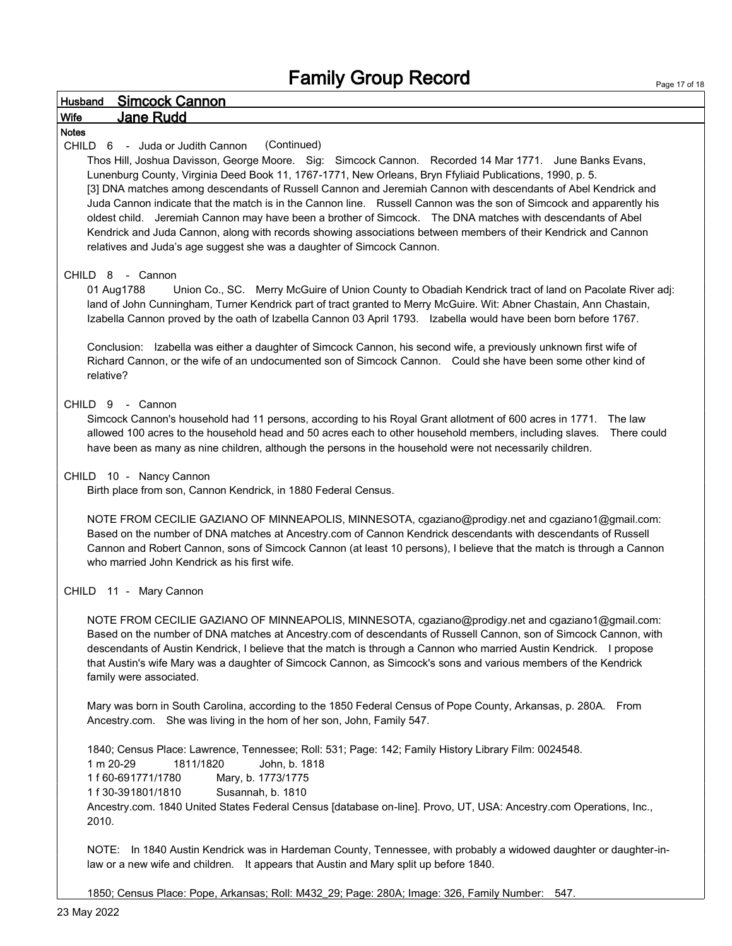#### Husband Simcock Cannon

### Wife Jane Rudd

#### Notes

#### CHILD 6 - Juda or Judith Cannon (Continued)

Thos Hill, Joshua Davisson, George Moore. Sig: Simcock Cannon. Recorded 14 Mar 1771. June Banks Evans, Lunenburg County, Virginia Deed Book 11, 1767-1771, New Orleans, Bryn Ffyliaid Publications, 1990, p. 5. [3] DNA matches among descendants of Russell Cannon and Jeremiah Cannon with descendants of Abel Kendrick and Juda Cannon indicate that the match is in the Cannon line. Russell Cannon was the son of Simcock and apparently his oldest child. Jeremiah Cannon may have been a brother of Simcock. The DNA matches with descendants of Abel Kendrick and Juda Cannon, along with records showing associations between members of their Kendrick and Cannon relatives and Juda's age suggest she was a daughter of Simcock Cannon.

#### CHILD 8 - Cannon

01 Aug1788 Union Co., SC. Merry McGuire of Union County to Obadiah Kendrick tract of land on Pacolate River adj: land of John Cunningham, Turner Kendrick part of tract granted to Merry McGuire. Wit: Abner Chastain, Ann Chastain, Izabella Cannon proved by the oath of Izabella Cannon 03 April 1793. Izabella would have been born before 1767.

Conclusion: Izabella was either a daughter of Simcock Cannon, his second wife, a previously unknown first wife of Richard Cannon, or the wife of an undocumented son of Simcock Cannon. Could she have been some other kind of relative?

#### CHILD 9 - Cannon

Simcock Cannon's household had 11 persons, according to his Royal Grant allotment of 600 acres in 1771. The law allowed 100 acres to the household head and 50 acres each to other household members, including slaves. There could have been as many as nine children, although the persons in the household were not necessarily children.

#### CHILD 10 - Nancy Cannon

Birth place from son, Cannon Kendrick, in 1880 Federal Census.

NOTE FROM CECILIE GAZIANO OF MINNEAPOLIS, MINNESOTA, cgaziano@prodigy.net and cgaziano1@gmail.com: Based on the number of DNA matches at Ancestry.com of Cannon Kendrick descendants with descendants of Russell Cannon and Robert Cannon, sons of Simcock Cannon (at least 10 persons), I believe that the match is through a Cannon who married John Kendrick as his first wife.

#### CHILD 11 - Mary Cannon

NOTE FROM CECILIE GAZIANO OF MINNEAPOLIS, MINNESOTA, cgaziano@prodigy.net and cgaziano1@gmail.com: Based on the number of DNA matches at Ancestry.com of descendants of Russell Cannon, son of Simcock Cannon, with descendants of Austin Kendrick, I believe that the match is through a Cannon who married Austin Kendrick. I propose that Austin's wife Mary was a daughter of Simcock Cannon, as Simcock's sons and various members of the Kendrick family were associated.

Mary was born in South Carolina, according to the 1850 Federal Census of Pope County, Arkansas, p. 280A. From Ancestry.com. She was living in the hom of her son, John, Family 547.

1840; Census Place: Lawrence, Tennessee; Roll: 531; Page: 142; Family History Library Film: 0024548. 1 m 20-29 1811/1820 John, b. 1818 1 f 60-691771/1780 Mary, b. 1773/1775 1 f 30-391801/1810 Susannah, b. 1810 Ancestry.com. 1840 United States Federal Census [database on-line]. Provo, UT, USA: Ancestry.com Operations, Inc., 2010.

NOTE: In 1840 Austin Kendrick was in Hardeman County, Tennessee, with probably a widowed daughter or daughter-inlaw or a new wife and children. It appears that Austin and Mary split up before 1840.

1850; Census Place: Pope, Arkansas; Roll: M432\_29; Page: 280A; Image: 326, Family Number: 547.